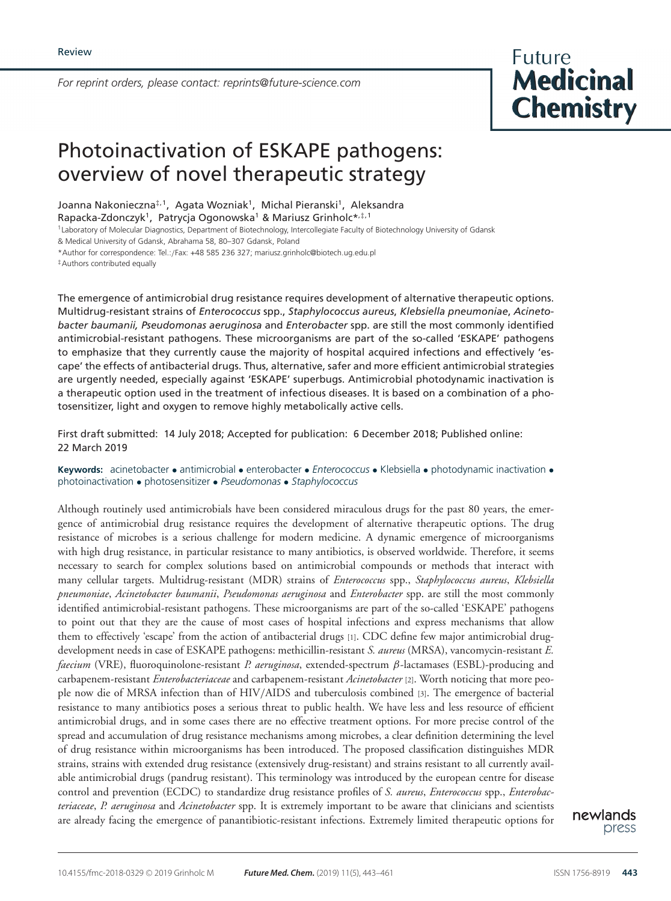*For reprint orders, please contact: reprints@future-science.com*



# Photoinactivation of ESKAPE pathogens: overview of novel therapeutic strategy

Joanna Nakonieczna<sup>‡, 1</sup>, Agata Wozniak<sup>1</sup>, Michal Pieranski<sup>1</sup>, Aleksandra

Rapacka-Zdonczyk<sup>1</sup>, Patrycja Ogonowska<sup>1</sup> & Mariusz Grinholc\*,<sup>‡,1</sup>

1Laboratory of Molecular Diagnostics, Department of Biotechnology, Intercollegiate Faculty of Biotechnology University of Gdansk

& Medical University of Gdansk, Abrahama 58, 80–307 Gdansk, Poland

\*Author for correspondence: Tel.:/Fax: +48 585 236 327; mariusz.grinholc@biotech.ug.edu.pl

‡Authors contributed equally

The emergence of antimicrobial drug resistance requires development of alternative therapeutic options. Multidrug-resistant strains of *Enterococcus* spp., *Staphylococcus aureus*, *Klebsiella pneumoniae*, *Acinetobacter baumanii, Pseudomonas aeruginosa* and *Enterobacter* spp. are still the most commonly identified antimicrobial-resistant pathogens. These microorganisms are part of the so-called 'ESKAPE' pathogens to emphasize that they currently cause the majority of hospital acquired infections and effectively 'escape' the effects of antibacterial drugs. Thus, alternative, safer and more efficient antimicrobial strategies are urgently needed, especially against 'ESKAPE' superbugs. Antimicrobial photodynamic inactivation is a therapeutic option used in the treatment of infectious diseases. It is based on a combination of a photosensitizer, light and oxygen to remove highly metabolically active cells.

First draft submitted: 14 July 2018; Accepted for publication: 6 December 2018; Published online: 22 March 2019

**Keywords:** acinetobacter • antimicrobial • enterobacter • *Enterococcus* • Klebsiella • photodynamic inactivation • photoinactivation • photosensitizer • *Pseudomonas* • *Staphylococcus*

Although routinely used antimicrobials have been considered miraculous drugs for the past 80 years, the emergence of antimicrobial drug resistance requires the development of alternative therapeutic options. The drug resistance of microbes is a serious challenge for modern medicine. A dynamic emergence of microorganisms with high drug resistance, in particular resistance to many antibiotics, is observed worldwide. Therefore, it seems necessary to search for complex solutions based on antimicrobial compounds or methods that interact with many cellular targets. Multidrug-resistant (MDR) strains of *Enterococcus* spp., *Staphylococcus aureus*, *Klebsiella pneumoniae*, *Acinetobacter baumanii*, *Pseudomonas aeruginosa* and *Enterobacter* spp. are still the most commonly identified antimicrobial-resistant pathogens. These microorganisms are part of the so-called 'ESKAPE' pathogens to point out that they are the cause of most cases of hospital infections and express mechanisms that allow them to effectively 'escape' from the action of antibacterial drugs [1]. CDC define few major antimicrobial drugdevelopment needs in case of ESKAPE pathogens: methicillin-resistant *S. aureus* (MRSA), vancomycin-resistant *E. faecium* (VRE), fluoroquinolone-resistant *P. aeruginosa*, extended-spectrum β-lactamases (ESBL)-producing and carbapenem-resistant *Enterobacteriaceae* and carbapenem-resistant *Acinetobacter* [2]. Worth noticing that more people now die of MRSA infection than of HIV/AIDS and tuberculosis combined [3]. The emergence of bacterial resistance to many antibiotics poses a serious threat to public health. We have less and less resource of efficient antimicrobial drugs, and in some cases there are no effective treatment options. For more precise control of the spread and accumulation of drug resistance mechanisms among microbes, a clear definition determining the level of drug resistance within microorganisms has been introduced. The proposed classification distinguishes MDR strains, strains with extended drug resistance (extensively drug-resistant) and strains resistant to all currently available antimicrobial drugs (pandrug resistant). This terminology was introduced by the european centre for disease control and prevention (ECDC) to standardize drug resistance profiles of *S. aureus*, *Enterococcus* spp., *Enterobacteriaceae*, *P. aeruginosa* and *Acinetobacter* spp. It is extremely important to be aware that clinicians and scientists are already facing the emergence of panantibiotic-resistant infections. Extremely limited therapeutic options for

newlands press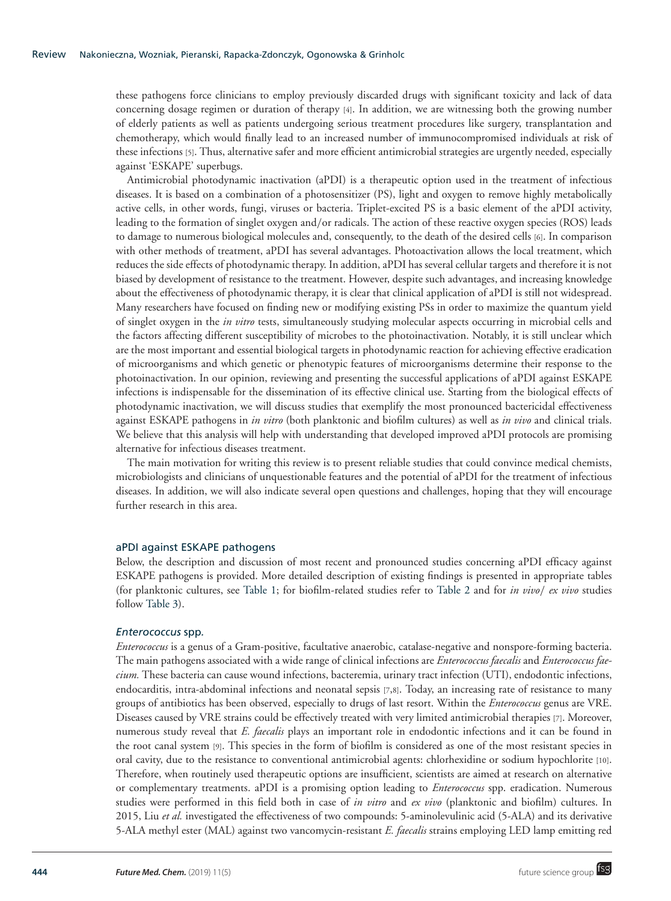these pathogens force clinicians to employ previously discarded drugs with significant toxicity and lack of data concerning dosage regimen or duration of therapy [4]. In addition, we are witnessing both the growing number of elderly patients as well as patients undergoing serious treatment procedures like surgery, transplantation and chemotherapy, which would finally lead to an increased number of immunocompromised individuals at risk of these infections [5]. Thus, alternative safer and more efficient antimicrobial strategies are urgently needed, especially against 'ESKAPE' superbugs.

Antimicrobial photodynamic inactivation (aPDI) is a therapeutic option used in the treatment of infectious diseases. It is based on a combination of a photosensitizer (PS), light and oxygen to remove highly metabolically active cells, in other words, fungi, viruses or bacteria. Triplet-excited PS is a basic element of the aPDI activity, leading to the formation of singlet oxygen and/or radicals. The action of these reactive oxygen species (ROS) leads to damage to numerous biological molecules and, consequently, to the death of the desired cells [6]. In comparison with other methods of treatment, aPDI has several advantages. Photoactivation allows the local treatment, which reduces the side effects of photodynamic therapy. In addition, aPDI has several cellular targets and therefore it is not biased by development of resistance to the treatment. However, despite such advantages, and increasing knowledge about the effectiveness of photodynamic therapy, it is clear that clinical application of aPDI is still not widespread. Many researchers have focused on finding new or modifying existing PSs in order to maximize the quantum yield of singlet oxygen in the *in vitro* tests, simultaneously studying molecular aspects occurring in microbial cells and the factors affecting different susceptibility of microbes to the photoinactivation. Notably, it is still unclear which are the most important and essential biological targets in photodynamic reaction for achieving effective eradication of microorganisms and which genetic or phenotypic features of microorganisms determine their response to the photoinactivation. In our opinion, reviewing and presenting the successful applications of aPDI against ESKAPE infections is indispensable for the dissemination of its effective clinical use. Starting from the biological effects of photodynamic inactivation, we will discuss studies that exemplify the most pronounced bactericidal effectiveness against ESKAPE pathogens in *in vitro* (both planktonic and biofilm cultures) as well as *in vivo* and clinical trials. We believe that this analysis will help with understanding that developed improved aPDI protocols are promising alternative for infectious diseases treatment.

The main motivation for writing this review is to present reliable studies that could convince medical chemists, microbiologists and clinicians of unquestionable features and the potential of aPDI for the treatment of infectious diseases. In addition, we will also indicate several open questions and challenges, hoping that they will encourage further research in this area.

# aPDI against ESKAPE pathogens

Below, the description and discussion of most recent and pronounced studies concerning aPDI efficacy against ESKAPE pathogens is provided. More detailed description of existing findings is presented in appropriate tables (for planktonic cultures, see Table 1; for biofilm-related studies refer to Table 2 and for *in vivo*/ *ex vivo* studies follow Table 3).

#### *Enterococcus* spp*.*

*Enterococcus* is a genus of a Gram-positive, facultative anaerobic, catalase-negative and nonspore-forming bacteria. The main pathogens associated with a wide range of clinical infections are *Enterococcus faecalis* and *Enterococcus faecium.* These bacteria can cause wound infections, bacteremia, urinary tract infection (UTI), endodontic infections, endocarditis, intra-abdominal infections and neonatal sepsis [7,8]. Today, an increasing rate of resistance to many groups of antibiotics has been observed, especially to drugs of last resort. Within the *Enterococcus* genus are VRE. Diseases caused by VRE strains could be effectively treated with very limited antimicrobial therapies [7]. Moreover, numerous study reveal that *E. faecalis* plays an important role in endodontic infections and it can be found in the root canal system [9]. This species in the form of biofilm is considered as one of the most resistant species in oral cavity, due to the resistance to conventional antimicrobial agents: chlorhexidine or sodium hypochlorite [10]. Therefore, when routinely used therapeutic options are insufficient, scientists are aimed at research on alternative or complementary treatments. aPDI is a promising option leading to *Enterococcus* spp. eradication. Numerous studies were performed in this field both in case of *in vitro* and *ex vivo* (planktonic and biofilm) cultures. In 2015, Liu *et al.* investigated the effectiveness of two compounds: 5-aminolevulinic acid (5-ALA) and its derivative 5-ALA methyl ester (MAL) against two vancomycin-resistant *E. faecalis* strains employing LED lamp emitting red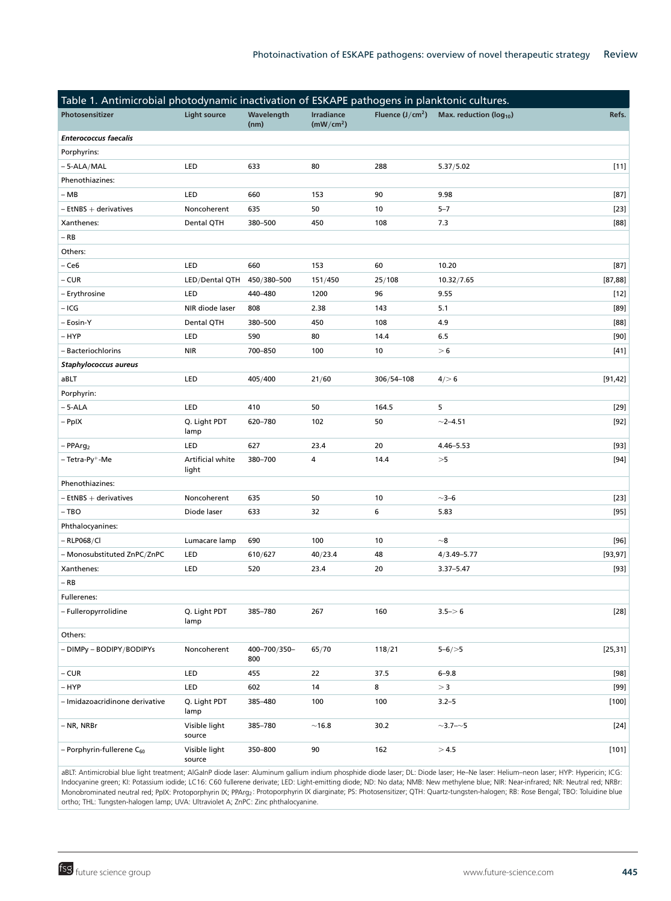| Table 1. Antimicrobial photodynamic inactivation of ESKAPE pathogens in planktonic cultures. |                           |                     |                                            |                   |                               |          |
|----------------------------------------------------------------------------------------------|---------------------------|---------------------|--------------------------------------------|-------------------|-------------------------------|----------|
| Photosensitizer                                                                              | <b>Light source</b>       | Wavelength<br>(nm)  | <b>Irradiance</b><br>(mW/cm <sup>2</sup> ) | Fluence $(J/cm2)$ | Max. reduction ( $log_{10}$ ) | Refs.    |
| <b>Enterococcus faecalis</b>                                                                 |                           |                     |                                            |                   |                               |          |
| Porphyrins:                                                                                  |                           |                     |                                            |                   |                               |          |
| $-5-ALA/MAL$                                                                                 | LED                       | 633                 | 80                                         | 288               | 5.37/5.02                     | $[11]$   |
| Phenothiazines:                                                                              |                           |                     |                                            |                   |                               |          |
| $- MB$                                                                                       | LED                       | 660                 | 153                                        | 90                | 9.98                          | [87]     |
| $-$ EtNBS $+$ derivatives                                                                    | Noncoherent               | 635                 | 50                                         | 10                | $5 - 7$                       | $[23]$   |
| Xanthenes:                                                                                   | Dental QTH                | 380-500             | 450                                        | 108               | 7.3                           | [88]     |
| $-$ RB                                                                                       |                           |                     |                                            |                   |                               |          |
| Others:                                                                                      |                           |                     |                                            |                   |                               |          |
| – Ce6                                                                                        | LED                       | 660                 | 153                                        | 60                | 10.20                         | [87]     |
| $- CUR$                                                                                      | LED/Dental QTH            | 450/380-500         | 151/450                                    | 25/108            | 10.32/7.65                    | [87, 88] |
| - Erythrosine                                                                                | LED                       | 440-480             | 1200                                       | 96                | 9.55                          | $[12]$   |
| – ICG                                                                                        | NIR diode laser           | 808                 | 2.38                                       | 143               | 5.1                           | [89]     |
| - Eosin-Y                                                                                    | Dental QTH                | 380-500             | 450                                        | 108               | 4.9                           | [88]     |
| – HYP                                                                                        | LED                       | 590                 | 80                                         | 14.4              | 6.5                           | $[90]$   |
| - Bacteriochlorins                                                                           | <b>NIR</b>                | 700-850             | 100                                        | 10                | > 6                           | $[41]$   |
| <b>Staphylococcus aureus</b>                                                                 |                           |                     |                                            |                   |                               |          |
| aBLT                                                                                         | LED                       | 405/400             | 21/60                                      | 306/54-108        | $4/$ 6                        | [91, 42] |
| Porphyrin:                                                                                   |                           |                     |                                            |                   |                               |          |
| $-5 - ALA$                                                                                   | LED                       | 410                 | 50                                         | 164.5             | 5                             | $[29]$   |
| - PpIX                                                                                       | Q. Light PDT<br>lamp      | 620-780             | 102                                        | 50                | $~2 - 4.51$                   | [92]     |
| $-$ PPArg <sub>2</sub>                                                                       | LED                       | 627                 | 23.4                                       | 20                | $4.46 - 5.53$                 | $[93]$   |
| - Tetra-Py <sup>+</sup> -Me                                                                  | Artificial white<br>light | 380-700             | 4                                          | 14.4              | >5                            | $[94]$   |
| Phenothiazines:                                                                              |                           |                     |                                            |                   |                               |          |
| $-$ EtNBS $+$ derivatives                                                                    | Noncoherent               | 635                 | 50                                         | 10                | $\sim$ 3–6                    | $[23]$   |
| $-$ TBO                                                                                      | Diode laser               | 633                 | 32                                         | 6                 | 5.83                          | $[95]$   |
| Phthalocyanines:                                                                             |                           |                     |                                            |                   |                               |          |
| $-$ RLP068/Cl                                                                                | Lumacare lamp             | 690                 | 100                                        | 10                | $\sim$ 8                      | [96]     |
| - Monosubstituted ZnPC/ZnPC                                                                  | LED                       | 610/627             | 40/23.4                                    | 48                | $4/3.49 - 5.77$               | [93, 97] |
| Xanthenes:                                                                                   | LED                       | 520                 | 23.4                                       | 20                | $3.37 - 5.47$                 | $[93]$   |
| $-$ RB                                                                                       |                           |                     |                                            |                   |                               |          |
| Fullerenes:                                                                                  |                           |                     |                                            |                   |                               |          |
| - Fulleropyrrolidine                                                                         | Q. Light PDT<br>lamp      | 385-780             | 267                                        | 160               | $3.5 - > 6$                   | $[28]$   |
| Others:                                                                                      |                           |                     |                                            |                   |                               |          |
| - DIMPy - BODIPY/BODIPYs                                                                     | Noncoherent               | 400-700/350-<br>800 | 65/70                                      | 118/21            | $5 - 6 / > 5$                 | [25, 31] |
| $-CUR$                                                                                       | LED                       | 455                 | 22                                         | 37.5              | $6 - 9.8$                     | $[98]$   |
| – HYP                                                                                        | LED                       | 602                 | 14                                         | 8                 | > 3                           | [99]     |
| - Imidazoacridinone derivative                                                               | Q. Light PDT<br>lamp      | 385-480             | 100                                        | 100               | $3.2 - 5$                     | $[100]$  |
| – NR, NRBr                                                                                   | Visible light<br>source   | 385-780             | ~16.8                                      | 30.2              | $\sim$ 3.7– $\sim$ 5          | $[24]$   |
| - Porphyrin-fullerene C <sub>60</sub>                                                        | Visible light<br>source   | 350-800             | 90                                         | 162               | >4.5                          | [101]    |

aBLT: Antimicrobial blue light treatment; AlGaInP diode laser: Aluminum gallium indium phosphide diode laser; DL: Diode laser; He–Ne laser: Helium–neon laser; HYP: Hypericin; ICG: Indocyanine green; KI: Potassium iodide; LC16: C60 fullerene derivate; LED: Light-emitting diode; ND: No data; NMB: New methylene blue; NIR: Near-infrared; NR: Neutral red; NRBr: Monobrominated neutral red; PpIX: Protoporphyrin IX; PPArg2: Protoporphyrin IX diarginate; PS: Photosensitizer; QTH: Quartz-tungsten-halogen; RB: Rose Bengal; TBO: Toluidine blue ortho; THL: Tungsten-halogen lamp; UVA: Ultraviolet A; ZnPC: Zinc phthalocyanine.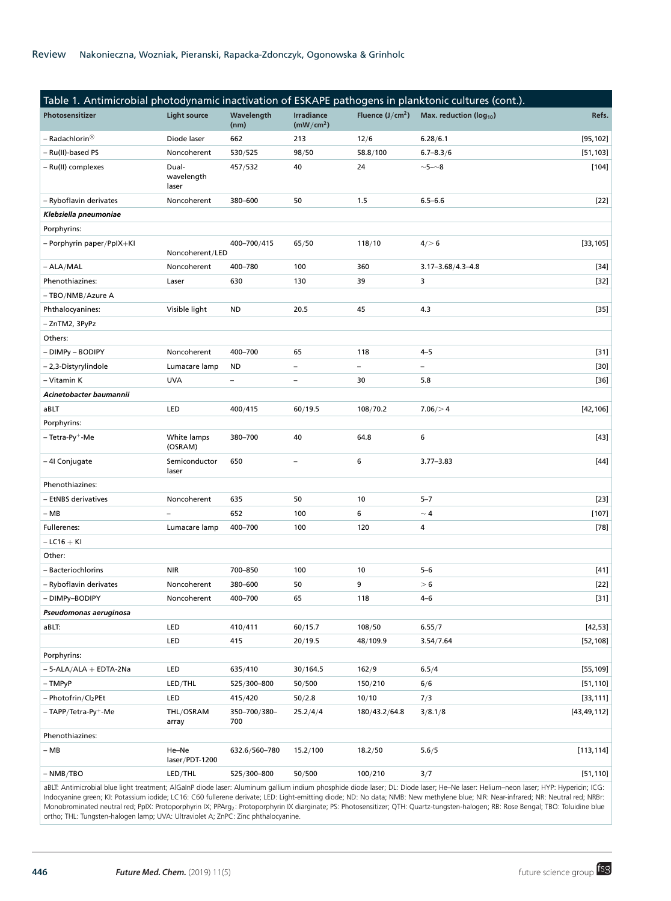| Table 1. Antimicrobial photodynamic inactivation of ESKAPE pathogens in planktonic cultures (cont.). |                              |                     |                                            |                   |                               |               |
|------------------------------------------------------------------------------------------------------|------------------------------|---------------------|--------------------------------------------|-------------------|-------------------------------|---------------|
| Photosensitizer                                                                                      | <b>Light source</b>          | Wavelength<br>(nm)  | <b>Irradiance</b><br>(mW/cm <sup>2</sup> ) | Fluence $(J/cm2)$ | Max. reduction ( $log_{10}$ ) | Refs.         |
| – Radachlorin®                                                                                       | Diode laser                  | 662                 | 213                                        | 12/6              | 6.28/6.1                      | [95, 102]     |
| - Ru(II)-based PS                                                                                    | Noncoherent                  | 530/525             | 98/50                                      | 58.8/100          | $6.7 - 8.3/6$                 | [51, 103]     |
| - Ru(II) complexes                                                                                   | Dual-<br>wavelength<br>laser | 457/532             | 40                                         | 24                | $\sim$ 5- $\sim$ 8            | $[104]$       |
| - Ryboflavin derivates                                                                               | Noncoherent                  | 380-600             | 50                                         | 1.5               | $6.5 - 6.6$                   | $[22]$        |
| Klebsiella pneumoniae                                                                                |                              |                     |                                            |                   |                               |               |
| Porphyrins:                                                                                          |                              |                     |                                            |                   |                               |               |
| - Porphyrin paper/PpIX+KI                                                                            | Noncoherent/LED              | 400-700/415         | 65/50                                      | 118/10            | $4/$ 6                        | [33, 105]     |
| $- ALA/MAL$                                                                                          | Noncoherent                  | 400-780             | 100                                        | 360               | $3.17 - 3.68 / 4.3 - 4.8$     | $[34]$        |
| Phenothiazines:                                                                                      | Laser                        | 630                 | 130                                        | 39                | 3                             | $[32]$        |
| - TBO/NMB/Azure A                                                                                    |                              |                     |                                            |                   |                               |               |
| Phthalocyanines:                                                                                     | Visible light                | ND                  | 20.5                                       | 45                | 4.3                           | $[35]$        |
| - ZnTM2, 3PyPz                                                                                       |                              |                     |                                            |                   |                               |               |
| Others:                                                                                              |                              |                     |                                            |                   |                               |               |
| - DIMPy - BODIPY                                                                                     | Noncoherent                  | 400-700             | 65                                         | 118               | $4 - 5$                       | $[31]$        |
| - 2,3-Distyrylindole                                                                                 | Lumacare lamp                | ND                  | $\overline{\phantom{0}}$                   | $\qquad \qquad -$ | $\overline{\phantom{0}}$      | $[30]$        |
| - Vitamin K                                                                                          | <b>UVA</b>                   | -                   | $\qquad \qquad -$                          | 30                | 5.8                           | $[36]$        |
| Acinetobacter baumannii                                                                              |                              |                     |                                            |                   |                               |               |
| aBLT                                                                                                 | LED                          | 400/415             | 60/19.5                                    | 108/70.2          | 7.06 / > 4                    | [42, 106]     |
| Porphyrins:                                                                                          |                              |                     |                                            |                   |                               |               |
| – Tetra-Py <sup>+</sup> -Me                                                                          | White lamps<br>(OSRAM)       | 380-700             | 40                                         | 64.8              | 6                             | [43]          |
| - 4I Conjugate                                                                                       | Semiconductor<br>laser       | 650                 | $\qquad \qquad -$                          | 6                 | $3.77 - 3.83$                 | $[44]$        |
| Phenothiazines:                                                                                      |                              |                     |                                            |                   |                               |               |
| - EtNBS derivatives                                                                                  | Noncoherent                  | 635                 | 50                                         | 10                | $5 - 7$                       | $[23]$        |
| $- MB$                                                                                               |                              | 652                 | 100                                        | 6                 | $\sim$ 4                      | $[107]$       |
| Fullerenes:                                                                                          | Lumacare lamp                | 400-700             | 100                                        | 120               | 4                             | $[78]$        |
| $-$ LC16 $+$ KI                                                                                      |                              |                     |                                            |                   |                               |               |
| Other:                                                                                               |                              |                     |                                            |                   |                               |               |
| - Bacteriochlorins                                                                                   | <b>NIR</b>                   | 700-850             | 100                                        | 10                | $5 - 6$                       | $[41]$        |
| - Ryboflavin derivates                                                                               | Noncoherent                  | 380-600             | 50                                         | 9                 | > 6                           | $[22]$        |
| - DIMPv-BODIPY                                                                                       | Noncoherent                  | 400-700             | 65                                         | 118               | $4 - 6$                       | $[31]$        |
| Pseudomonas aeruginosa                                                                               |                              |                     |                                            |                   |                               |               |
| aBLT:                                                                                                | LED                          | 410/411             | 60/15.7                                    | 108/50            | 6.55/7                        | $[42, 53]$    |
|                                                                                                      | LED                          | 415                 | 20/19.5                                    | 48/109.9          | 3.54/7.64                     | [52, 108]     |
| Porphyrins:                                                                                          |                              |                     |                                            |                   |                               |               |
| $-5 - ALA/ALA + EDTA-2Na$                                                                            | LED                          | 635/410             | 30/164.5                                   | 162/9             | 6.5/4                         | [55, 109]     |
| $-$ TMPyP                                                                                            | LED/THL                      | 525/300-800         | 50/500                                     | 150/210           | 6/6                           | [51, 110]     |
| - Photofrin/Cl <sub>2</sub> PEt                                                                      | LED                          | 415/420             | 50/2.8                                     | 10/10             | 7/3                           | [33, 111]     |
| - TAPP/Tetra-Py <sup>+</sup> -Me                                                                     | THL/OSRAM<br>array           | 350-700/380-<br>700 | 25.2/4/4                                   | 180/43.2/64.8     | 3/8.1/8                       | [43, 49, 112] |
| Phenothiazines:                                                                                      |                              |                     |                                            |                   |                               |               |
| $- MB$                                                                                               | He-Ne<br>laser/PDT-1200      | 632.6/560-780       | 15.2/100                                   | 18.2/50           | 5.6/5                         | [113, 114]    |
| $- NMB/TBO$                                                                                          | LED/THL                      | 525/300-800         | 50/500                                     | 100/210           | 3/7                           | [51, 110]     |
|                                                                                                      |                              |                     |                                            |                   |                               |               |

aBLT: Antimicrobial blue light treatment; AlGaInP diode laser: Aluminum gallium indium phosphide diode laser; DL: Diode laser; He–Ne laser: Helium–neon laser; HYP: Hypericin; ICG: Indocyanine green; KI: Potassium iodide; LC16: C60 fullerene derivate; LED: Light-emitting diode; ND: No data; NMB: New methylene blue; NIR: Near-infrared; NR: Neutral red; NRBr: Monobrominated neutral red; PpIX: Protoporphyrin IX; PPArg2: Protoporphyrin IX diarginate; PS: Photosensitizer; QTH: Quartz-tungsten-halogen; RB: Rose Bengal; TBO: Toluidine blue ortho; THL: Tungsten-halogen lamp; UVA: Ultraviolet A; ZnPC: Zinc phthalocyanine.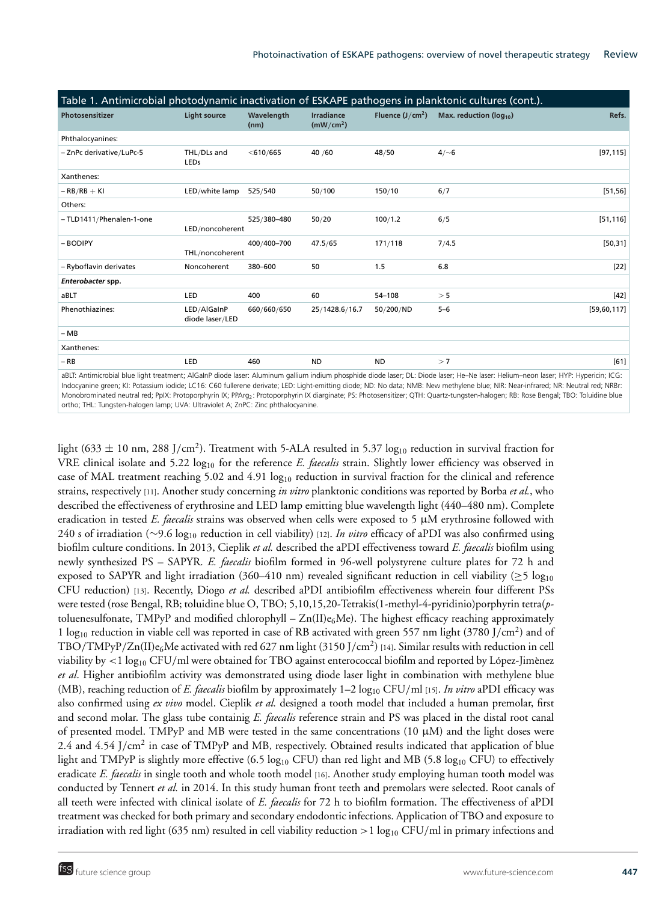| Table 1. Antimicrobial photodynamic inactivation of ESKAPE pathogens in planktonic cultures (cont.). |                                |                    |                                            |                   |                               |             |
|------------------------------------------------------------------------------------------------------|--------------------------------|--------------------|--------------------------------------------|-------------------|-------------------------------|-------------|
| Photosensitizer                                                                                      | <b>Light source</b>            | Wavelength<br>(nm) | <b>Irradiance</b><br>(mW/cm <sup>2</sup> ) | Fluence $(J/cm2)$ | Max. reduction ( $log_{10}$ ) | Refs.       |
| Phthalocyanines:                                                                                     |                                |                    |                                            |                   |                               |             |
| - ZnPc derivative/LuPc-5                                                                             | THL/DLs and<br><b>LEDs</b>     | $<$ 610/665        | 40 /60                                     | 48/50             | $4/\sim 6$                    | [97, 115]   |
| Xanthenes:                                                                                           |                                |                    |                                            |                   |                               |             |
| $-RB/RB + KI$                                                                                        | LED/white lamp                 | 525/540            | 50/100                                     | 150/10            | 6/7                           | [51, 56]    |
| Others:                                                                                              |                                |                    |                                            |                   |                               |             |
| - TLD1411/Phenalen-1-one                                                                             | LED/noncoherent                | 525/380-480        | 50/20                                      | 100/1.2           | 6/5                           | [51, 116]   |
| - BODIPY                                                                                             | THL/noncoherent                | 400/400-700        | 47.5/65                                    | 171/118           | 7/4.5                         | [50, 31]    |
| - Ryboflavin derivates                                                                               | Noncoherent                    | 380-600            | 50                                         | 1.5               | 6.8                           | $[22]$      |
| Enterobacter spp.                                                                                    |                                |                    |                                            |                   |                               |             |
| aBLT                                                                                                 | LED                            | 400                | 60                                         | 54-108            | > 5                           | $[42]$      |
| Phenothiazines:                                                                                      | LED/AlGaInP<br>diode laser/LED | 660/660/650        | 25/1428.6/16.7                             | 50/200/ND         | $5 - 6$                       | [59,60,117] |
| $-MB$                                                                                                |                                |                    |                                            |                   |                               |             |
| Xanthenes:                                                                                           |                                |                    |                                            |                   |                               |             |
| $-RB$                                                                                                | LED                            | 460                | <b>ND</b>                                  | <b>ND</b>         | >7                            | $[61]$      |
|                                                                                                      |                                |                    |                                            |                   |                               |             |

aBLT: Antimicrobial blue light treatment; AlGaInP diode laser: Aluminum gallium indium phosphide diode laser; DL: Diode laser; He–Ne laser: Helium–neon laser; HYP: Hypericin; ICG: Indocyanine green; KI: Potassium iodide; LC16: C60 fullerene derivate; LED: Light-emitting diode; ND: No data; NMB: New methylene blue; NIR: Near-infrared; NR: Neutral red; NRBr: Monobrominated neutral red; PpIX: Protoporphyrin IX; PPArg2: Protoporphyrin IX diarginate; PS: Photosensitizer; QTH: Quartz-tungsten-halogen; RB: Rose Bengal; TBO: Toluidine blue ortho; THL: Tungsten-halogen lamp; UVA: Ultraviolet A; ZnPC: Zinc phthalocyanine.

light (633  $\pm$  10 nm, 288 J/cm<sup>2</sup>). Treatment with 5-ALA resulted in 5.37 log<sub>10</sub> reduction in survival fraction for VRE clinical isolate and 5.22 log<sub>10</sub> for the reference *E. faecalis* strain. Slightly lower efficiency was observed in case of MAL treatment reaching 5.02 and 4.91 log<sub>10</sub> reduction in survival fraction for the clinical and reference strains, respectively [11]. Another study concerning *in vitro* planktonic conditions was reported by Borba *et al.*, who described the effectiveness of erythrosine and LED lamp emitting blue wavelength light (440–480 nm). Complete eradication in tested *E. faecalis* strains was observed when cells were exposed to 5 μM erythrosine followed with 240 s of irradiation (∼9.6 log10 reduction in cell viability) [12]. *In vitro* efficacy of aPDI was also confirmed using biofilm culture conditions. In 2013, Cieplik *et al.* described the aPDI effectiveness toward *E. faecalis* biofilm using newly synthesized PS – SAPYR. *E. faecalis* biofilm formed in 96-well polystyrene culture plates for 72 h and exposed to SAPYR and light irradiation (360–410 nm) revealed significant reduction in cell viability ( $\geq$ 5 log<sub>10</sub>) CFU reduction) [13]. Recently, Diogo *et al.* described aPDI antibiofilm effectiveness wherein four different PSs were tested (rose Bengal, RB; toluidine blue O, TBO; 5,10,15,20-Tetrakis(1-methyl-4-pyridinio)porphyrin tetra(*p*toluenesulfonate, TMPyP and modified chlorophyll –  $Zn(II)e<sub>6</sub>Me$ ). The highest efficacy reaching approximately 1 log<sub>10</sub> reduction in viable cell was reported in case of RB activated with green 557 nm light (3780 J/cm<sup>2</sup>) and of TBO/TMPyP/Zn(II)e<sub>6</sub>Me activated with red 627 nm light (3150 J/cm<sup>2</sup>) [14]. Similar results with reduction in cell viability by  $\lt 1 \log_{10} CFU/ml$  were obtained for TBO against enterococcal biofilm and reported by López-Jimènez *et al*. Higher antibiofilm activity was demonstrated using diode laser light in combination with methylene blue (MB), reaching reduction of *E. faecalis* biofilm by approximately 1–2 log10 CFU/ml [15]. *In vitro* aPDI efficacy was also confirmed using *ex vivo* model. Cieplik *et al.* designed a tooth model that included a human premolar, first and second molar. The glass tube containig *E. faecalis* reference strain and PS was placed in the distal root canal of presented model. TMPyP and MB were tested in the same concentrations (10  $\mu$ M) and the light doses were 2.4 and  $4.54$  J/cm<sup>2</sup> in case of TMPyP and MB, respectively. Obtained results indicated that application of blue light and TMPyP is slightly more effective (6.5 log<sub>10</sub> CFU) than red light and MB (5.8 log<sub>10</sub> CFU) to effectively eradicate *E. faecalis* in single tooth and whole tooth model [16]. Another study employing human tooth model was conducted by Tennert *et al.* in 2014. In this study human front teeth and premolars were selected. Root canals of all teeth were infected with clinical isolate of *E. faecalis* for 72 h to biofilm formation. The effectiveness of aPDI treatment was checked for both primary and secondary endodontic infections. Application of TBO and exposure to irradiation with red light (635 nm) resulted in cell viability reduction  $>1$  log<sub>10</sub> CFU/ml in primary infections and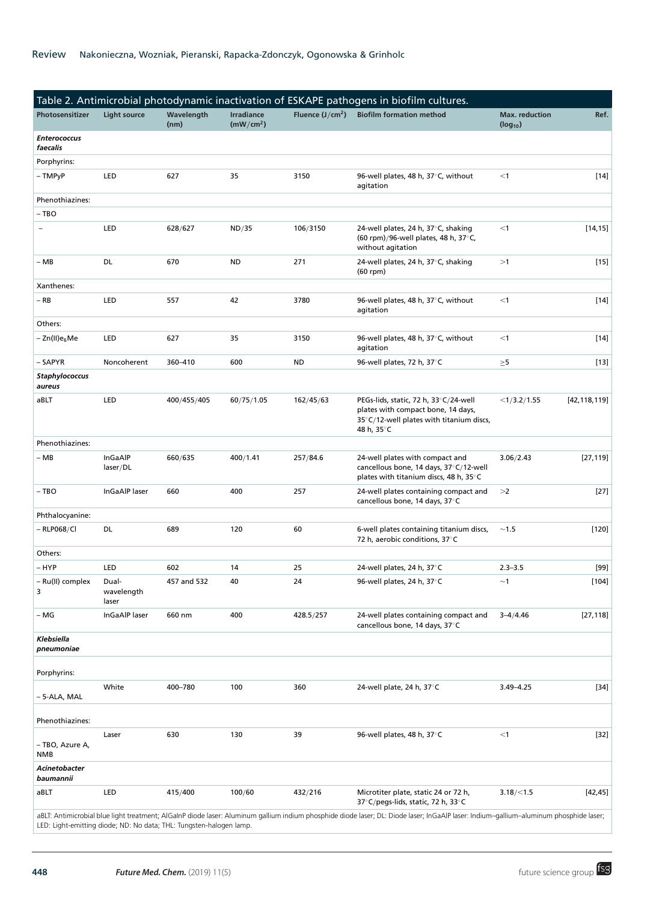| Table 2. Antimicrobial photodynamic inactivation of ESKAPE pathogens in biofilm cultures. |                                                                     |                    |                                            |                   |                                                                                                                                                                                        |                                       |                    |
|-------------------------------------------------------------------------------------------|---------------------------------------------------------------------|--------------------|--------------------------------------------|-------------------|----------------------------------------------------------------------------------------------------------------------------------------------------------------------------------------|---------------------------------------|--------------------|
| Photosensitizer                                                                           | <b>Light source</b>                                                 | Wavelength<br>(nm) | <b>Irradiance</b><br>(mW/cm <sup>2</sup> ) | Fluence $(J/cm2)$ | <b>Biofilm formation method</b>                                                                                                                                                        | <b>Max.</b> reduction<br>$(log_{10})$ | Ref.               |
| <b>Enterococcus</b><br>faecalis                                                           |                                                                     |                    |                                            |                   |                                                                                                                                                                                        |                                       |                    |
| Porphyrins:                                                                               |                                                                     |                    |                                            |                   |                                                                                                                                                                                        |                                       |                    |
| – TMPyP                                                                                   | LED                                                                 | 627                | 35                                         | 3150              | 96-well plates, 48 h, 37°C, without<br>agitation                                                                                                                                       | $<$ 1                                 | $[14]$             |
| Phenothiazines:                                                                           |                                                                     |                    |                                            |                   |                                                                                                                                                                                        |                                       |                    |
| – TBO                                                                                     |                                                                     |                    |                                            |                   |                                                                                                                                                                                        |                                       |                    |
| $\overline{a}$                                                                            | <b>LED</b>                                                          | 628/627            | ND/35                                      | 106/3150          | 24-well plates, 24 h, 37°C, shaking<br>(60 rpm)/96-well plates, 48 h, 37°C,<br>without agitation                                                                                       | $<$ 1                                 | [14, 15]           |
| – MB                                                                                      | DL                                                                  | 670                | <b>ND</b>                                  | 271               | 24-well plates, 24 h, 37°C, shaking<br>$(60$ rpm $)$                                                                                                                                   | >1                                    | $[15]$             |
| Xanthenes:                                                                                |                                                                     |                    |                                            |                   |                                                                                                                                                                                        |                                       |                    |
| $-$ RB                                                                                    | LED                                                                 | 557                | 42                                         | 3780              | 96-well plates, 48 h, 37°C, without<br>agitation                                                                                                                                       | $<$ 1                                 | $[14]$             |
| Others:                                                                                   |                                                                     |                    |                                            |                   |                                                                                                                                                                                        |                                       |                    |
| – Zn(II)e <sub>6</sub> Me                                                                 | LED                                                                 | 627                | 35                                         | 3150              | 96-well plates, 48 h, 37°C, without<br>agitation                                                                                                                                       | $<$ 1                                 | $[14]$             |
| - SAPYR                                                                                   | Noncoherent                                                         | 360-410            | 600                                        | ND                | 96-well plates, 72 h, 37°C                                                                                                                                                             | $\geq 5$                              | $[13]$             |
| Staphylococcus<br>aureus                                                                  |                                                                     |                    |                                            |                   |                                                                                                                                                                                        |                                       |                    |
| aBLT                                                                                      | LED                                                                 | 400/455/405        | 60/75/1.05                                 | 162/45/63         | PEGs-lids, static, 72 h, 33°C/24-well<br>plates with compact bone, 14 days,<br>35°C/12-well plates with titanium discs,<br>48 h, 35°C                                                  | <1/3.2/1.55                           | [42, 118, 119]     |
| Phenothiazines:                                                                           |                                                                     |                    |                                            |                   |                                                                                                                                                                                        |                                       |                    |
| – MB                                                                                      | InGaAlP<br>laser/DL                                                 | 660/635            | 400/1.41                                   | 257/84.6          | 24-well plates with compact and<br>cancellous bone, 14 days, 37°C/12-well<br>plates with titanium discs, 48 h, 35°C                                                                    | 3.06/2.43                             | [27, 119]          |
| – TBO                                                                                     | InGaAlP laser                                                       | 660                | 400                                        | 257               | 24-well plates containing compact and<br>cancellous bone, 14 days, 37°C                                                                                                                | >2                                    | $[27]$             |
| Phthalocyanine:                                                                           |                                                                     |                    |                                            |                   |                                                                                                                                                                                        |                                       |                    |
| $-$ RLP068/Cl                                                                             | DL                                                                  | 689                | 120                                        | 60                | 6-well plates containing titanium discs,<br>72 h, aerobic conditions, 37°C                                                                                                             | ~1.5                                  | $[120]$            |
| Others:                                                                                   |                                                                     |                    |                                            |                   |                                                                                                                                                                                        |                                       |                    |
| – HYP                                                                                     | LED                                                                 | 602                | 14                                         | 25                | 24-well plates, 24 h, 37°C                                                                                                                                                             | $2.3 - 3.5$                           | [99]               |
| - Ru(II) complex<br>3                                                                     | Dual-<br>wavelength<br>laser                                        | 457 and 532        | 40                                         | 24                | 96-well plates, 24 h, 37°C                                                                                                                                                             | ~1                                    | $\left[104\right]$ |
| – MG                                                                                      | InGaAlP laser                                                       | 660 nm             | 400                                        | 428.5/257         | 24-well plates containing compact and<br>cancellous bone, 14 days, 37°C                                                                                                                | $3 - 4/4.46$                          | [27, 118]          |
| Klebsiella<br>pneumoniae                                                                  |                                                                     |                    |                                            |                   |                                                                                                                                                                                        |                                       |                    |
| Porphyrins:                                                                               |                                                                     |                    |                                            |                   |                                                                                                                                                                                        |                                       |                    |
| – 5-ALA, MAL                                                                              | White                                                               | 400-780            | 100                                        | 360               | 24-well plate, 24 h, 37°C                                                                                                                                                              | $3.49 - 4.25$                         | $[34]$             |
| Phenothiazines:                                                                           |                                                                     |                    |                                            |                   |                                                                                                                                                                                        |                                       |                    |
| - TBO, Azure A,<br><b>NMB</b>                                                             | Laser                                                               | 630                | 130                                        | 39                | 96-well plates, 48 h, 37°C                                                                                                                                                             | $<$ 1                                 | $[32]$             |
| Acinetobacter<br>baumannii                                                                |                                                                     |                    |                                            |                   |                                                                                                                                                                                        |                                       |                    |
| aBLT                                                                                      | <b>LED</b>                                                          | 415/400            | 100/60                                     | 432/216           | Microtiter plate, static 24 or 72 h,<br>37°C/pegs-lids, static, 72 h, 33°C                                                                                                             | 3.18 / < 1.5                          | [42, 45]           |
|                                                                                           | LED: Light-emitting diode; ND: No data; THL: Tungsten-halogen lamp. |                    |                                            |                   | aBLT: Antimicrobial blue light treatment; AlGaInP diode laser: Aluminum gallium indium phosphide diode laser; DL: Diode laser; InGaAlP laser: Indium-gallium-aluminum phosphide laser; |                                       |                    |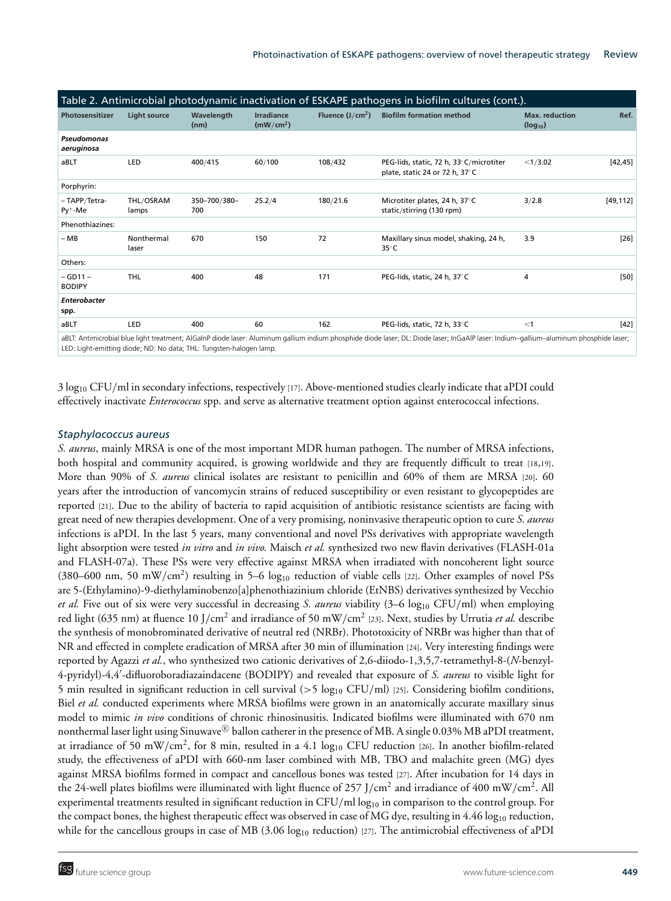| Table 2. Antimicrobial photodynamic inactivation of ESKAPE pathogens in biofilm cultures (cont.). |                     |                     |                                     |                   |                                                                                                                                                                                        |                                       |            |  |  |
|---------------------------------------------------------------------------------------------------|---------------------|---------------------|-------------------------------------|-------------------|----------------------------------------------------------------------------------------------------------------------------------------------------------------------------------------|---------------------------------------|------------|--|--|
| Photosensitizer                                                                                   | <b>Light source</b> | Wavelength<br>(nm)  | Irradiance<br>(mW/cm <sup>2</sup> ) | Fluence $(J/cm2)$ | <b>Biofilm formation method</b>                                                                                                                                                        | <b>Max.</b> reduction<br>$(log_{10})$ | Ref.       |  |  |
| Pseudomonas<br>aeruginosa                                                                         |                     |                     |                                     |                   |                                                                                                                                                                                        |                                       |            |  |  |
| aBLT                                                                                              | LED                 | 400/415             | 60/100                              | 108/432           | PEG-lids, static, 72 h, 33°C/microtiter<br>plate, static 24 or 72 h, 37°C                                                                                                              | <1/3.02                               | $[42, 45]$ |  |  |
| Porphyrin:                                                                                        |                     |                     |                                     |                   |                                                                                                                                                                                        |                                       |            |  |  |
| - TAPP/Tetra-<br>$Py+ - Me$                                                                       | THL/OSRAM<br>lamps  | 350-700/380-<br>700 | 25.2/4                              | 180/21.6          | Microtiter plates, 24 h, 37°C<br>static/stirring (130 rpm)                                                                                                                             | 3/2.8                                 | [49, 112]  |  |  |
| Phenothiazines:                                                                                   |                     |                     |                                     |                   |                                                                                                                                                                                        |                                       |            |  |  |
| $-MB$                                                                                             | Nonthermal<br>laser | 670                 | 150                                 | 72                | Maxillary sinus model, shaking, 24 h,<br>$35^{\circ}$ C                                                                                                                                | 3.9                                   | $[26]$     |  |  |
| Others:                                                                                           |                     |                     |                                     |                   |                                                                                                                                                                                        |                                       |            |  |  |
| $-$ GD11 $-$<br><b>BODIPY</b>                                                                     | <b>THL</b>          | 400                 | 48                                  | 171               | PEG-lids, static, 24 h, 37°C                                                                                                                                                           | 4                                     | $[50]$     |  |  |
| Enterobacter<br>spp.                                                                              |                     |                     |                                     |                   |                                                                                                                                                                                        |                                       |            |  |  |
| aBLT                                                                                              | LED                 | 400                 | 60                                  | 162               | PEG-lids, static, 72 h, 33°C                                                                                                                                                           | $<$ 1                                 | [42]       |  |  |
|                                                                                                   |                     |                     |                                     |                   | aBLT: Antimicrobial blue light treatment: AlGalnP diode laser: Aluminum gallium indium phosphide diode laser: DL: Diode laser: InGaAlP laser: Indium-gallium-aluminum phosphide laser: |                                       |            |  |  |

aBLT: Antimicrobial blue light treatment; AlGaInP diode laser: Aluminum gallium indium phosphide diode laser; DL: Diode laser; InGaAlP laser: Indium–gallium–aluminum phosphide laser; LED: Light-emitting diode; ND: No data; THL: Tungsten-halogen lamp.

3 log10 CFU/ml in secondary infections, respectively [17]. Above-mentioned studies clearly indicate that aPDI could effectively inactivate *Enterococcus* spp. and serve as alternative treatment option against enterococcal infections.

# *Staphylococcus aureus*

*S. aureus*, mainly MRSA is one of the most important MDR human pathogen. The number of MRSA infections, both hospital and community acquired, is growing worldwide and they are frequently difficult to treat [18,19]. More than 90% of *S. aureus* clinical isolates are resistant to penicillin and 60% of them are MRSA [20]. 60 years after the introduction of vancomycin strains of reduced susceptibility or even resistant to glycopeptides are reported [21]. Due to the ability of bacteria to rapid acquisition of antibiotic resistance scientists are facing with great need of new therapies development. One of a very promising, noninvasive therapeutic option to cure *S. aureus* infections is aPDI. In the last 5 years, many conventional and novel PSs derivatives with appropriate wavelength light absorption were tested *in vitro* and *in vivo.* Maisch *et al.* synthesized two new flavin derivatives (FLASH-01a and FLASH-07a). These PSs were very effective against MRSA when irradiated with noncoherent light source (380–600 nm, 50 mW/cm<sup>2</sup>) resulting in 5–6  $log_{10}$  reduction of viable cells [22]. Other examples of novel PSs are 5-(Ethylamino)-9-diethylaminobenzo[a]phenothiazinium chloride (EtNBS) derivatives synthesized by Vecchio *et al.* Five out of six were very successful in decreasing *S. aureus* viability (3–6 log10 CFU/ml) when employing red light (635 nm) at fluence 10 J/cm<sup>2</sup> and irradiance of 50 mW/cm<sup>2</sup> [23]. Next, studies by Urrutia *et al.* describe the synthesis of monobrominated derivative of neutral red (NRBr). Phototoxicity of NRBr was higher than that of NR and effected in complete eradication of MRSA after 30 min of illumination [24]. Very interesting findings were reported by Agazzi *et al.*, who synthesized two cationic derivatives of 2,6-diiodo-1,3,5,7-tetramethyl-8-(*N*-benzyl-4-pyridyl)-4,4 -difluoroboradiazaindacene (BODIPY) and revealed that exposure of *S. aureus* to visible light for 5 min resulted in significant reduction in cell survival  $(>5 \log_{10} CFU/ml)$  [25]. Considering biofilm conditions, Biel *et al.* conducted experiments where MRSA biofilms were grown in an anatomically accurate maxillary sinus model to mimic *in vivo* conditions of chronic rhinosinusitis. Indicated biofilms were illuminated with 670 nm nonthermal laser light using Sinuwave® ballon catherer in the presence of MB. A single 0.03% MB aPDI treatment, at irradiance of 50 mW/cm<sup>2</sup>, for 8 min, resulted in a 4.1  $\log_{10}$  CFU reduction [26]. In another biofilm-related study, the effectiveness of aPDI with 660-nm laser combined with MB, TBO and malachite green (MG) dyes against MRSA biofilms formed in compact and cancellous bones was tested [27]. After incubation for 14 days in the 24-well plates biofilms were illuminated with light fluence of  $257$  J/cm<sup>2</sup> and irradiance of 400 mW/cm<sup>2</sup>. All experimental treatments resulted in significant reduction in CFU/ml log<sub>10</sub> in comparison to the control group. For the compact bones, the highest therapeutic effect was observed in case of MG dye, resulting in  $4.46 \log_{10}$  reduction, while for the cancellous groups in case of MB  $(3.06 \log_{10}$  reduction) [27]. The antimicrobial effectiveness of aPDI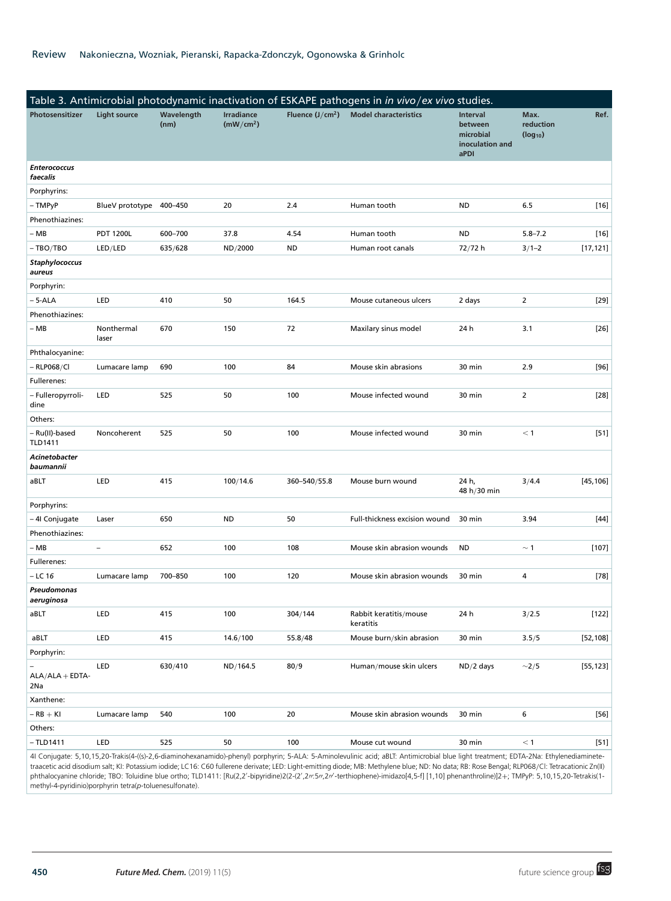| Table 3. Antimicrobial photodynamic inactivation of ESKAPE pathogens in in vivo/ex vivo studies. |                     |                    |                                            |                   |                                                                                                                                                                                                                                                                                                                                                                                         |                                                                    |                                   |           |  |
|--------------------------------------------------------------------------------------------------|---------------------|--------------------|--------------------------------------------|-------------------|-----------------------------------------------------------------------------------------------------------------------------------------------------------------------------------------------------------------------------------------------------------------------------------------------------------------------------------------------------------------------------------------|--------------------------------------------------------------------|-----------------------------------|-----------|--|
| Photosensitizer                                                                                  | <b>Light source</b> | Wavelength<br>(nm) | <b>Irradiance</b><br>(mW/cm <sup>2</sup> ) | Fluence $(J/cm2)$ | <b>Model characteristics</b>                                                                                                                                                                                                                                                                                                                                                            | <b>Interval</b><br>between<br>microbial<br>inoculation and<br>aPDI | Max.<br>reduction<br>$(log_{10})$ | Ref.      |  |
| <b>Enterococcus</b><br>faecalis                                                                  |                     |                    |                                            |                   |                                                                                                                                                                                                                                                                                                                                                                                         |                                                                    |                                   |           |  |
| Porphyrins:                                                                                      |                     |                    |                                            |                   |                                                                                                                                                                                                                                                                                                                                                                                         |                                                                    |                                   |           |  |
| – TMPyP                                                                                          | BlueV prototype     | 400-450            | 20                                         | 2.4               | Human tooth                                                                                                                                                                                                                                                                                                                                                                             | <b>ND</b>                                                          | 6.5                               | $[16]$    |  |
| Phenothiazines:                                                                                  |                     |                    |                                            |                   |                                                                                                                                                                                                                                                                                                                                                                                         |                                                                    |                                   |           |  |
| – MB                                                                                             | <b>PDT 1200L</b>    | 600-700            | 37.8                                       | 4.54              | Human tooth                                                                                                                                                                                                                                                                                                                                                                             | <b>ND</b>                                                          | $5.8 - 7.2$                       | $[16]$    |  |
| – TBO/TBO                                                                                        | LED/LED             | 635/628            | ND/2000                                    | <b>ND</b>         | Human root canals                                                                                                                                                                                                                                                                                                                                                                       | 72/72 h                                                            | $3/1 - 2$                         | [17, 121] |  |
| <b>Staphylococcus</b><br>aureus                                                                  |                     |                    |                                            |                   |                                                                                                                                                                                                                                                                                                                                                                                         |                                                                    |                                   |           |  |
| Porphyrin:                                                                                       |                     |                    |                                            |                   |                                                                                                                                                                                                                                                                                                                                                                                         |                                                                    |                                   |           |  |
| – 5-ALA                                                                                          | LED                 | 410                | 50                                         | 164.5             | Mouse cutaneous ulcers                                                                                                                                                                                                                                                                                                                                                                  | 2 days                                                             | 2                                 | $[29]$    |  |
| Phenothiazines:                                                                                  |                     |                    |                                            |                   |                                                                                                                                                                                                                                                                                                                                                                                         |                                                                    |                                   |           |  |
| – MB                                                                                             | Nonthermal<br>laser | 670                | 150                                        | 72                | Maxilary sinus model                                                                                                                                                                                                                                                                                                                                                                    | 24 h                                                               | 3.1                               | $[26]$    |  |
| Phthalocyanine:                                                                                  |                     |                    |                                            |                   |                                                                                                                                                                                                                                                                                                                                                                                         |                                                                    |                                   |           |  |
| - RLP068/Cl                                                                                      | Lumacare lamp       | 690                | 100                                        | 84                | Mouse skin abrasions                                                                                                                                                                                                                                                                                                                                                                    | 30 min                                                             | 2.9                               | [96]      |  |
| Fullerenes:                                                                                      |                     |                    |                                            |                   |                                                                                                                                                                                                                                                                                                                                                                                         |                                                                    |                                   |           |  |
| - Fulleropyrroli-<br>dine                                                                        | LED                 | 525                | 50                                         | 100               | Mouse infected wound                                                                                                                                                                                                                                                                                                                                                                    | 30 min                                                             | $\overline{2}$                    | $[28]$    |  |
| Others:                                                                                          |                     |                    |                                            |                   |                                                                                                                                                                                                                                                                                                                                                                                         |                                                                    |                                   |           |  |
| – Ru(II)-based<br><b>TLD1411</b>                                                                 | Noncoherent         | 525                | 50                                         | 100               | Mouse infected wound                                                                                                                                                                                                                                                                                                                                                                    | 30 min                                                             | $<$ 1                             | $[51]$    |  |
| Acinetobacter<br>baumannii                                                                       |                     |                    |                                            |                   |                                                                                                                                                                                                                                                                                                                                                                                         |                                                                    |                                   |           |  |
| aBLT                                                                                             | LED                 | 415                | 100/14.6                                   | 360-540/55.8      | Mouse burn wound                                                                                                                                                                                                                                                                                                                                                                        | 24 h,<br>48 h/30 min                                               | 3/4.4                             | [45, 106] |  |
| Porphyrins:                                                                                      |                     |                    |                                            |                   |                                                                                                                                                                                                                                                                                                                                                                                         |                                                                    |                                   |           |  |
| – 4I Conjugate                                                                                   | Laser               | 650                | <b>ND</b>                                  | 50                | Full-thickness excision wound                                                                                                                                                                                                                                                                                                                                                           | 30 min                                                             | 3.94                              | $[44]$    |  |
| Phenothiazines:                                                                                  |                     |                    |                                            |                   |                                                                                                                                                                                                                                                                                                                                                                                         |                                                                    |                                   |           |  |
| – MB                                                                                             | $\overline{a}$      | 652                | 100                                        | 108               | Mouse skin abrasion wounds                                                                                                                                                                                                                                                                                                                                                              | <b>ND</b>                                                          | $\sim$ 1                          | $[107]$   |  |
| Fullerenes:                                                                                      |                     |                    |                                            |                   |                                                                                                                                                                                                                                                                                                                                                                                         |                                                                    |                                   |           |  |
| – LC 16                                                                                          | Lumacare lamp       | 700-850            | 100                                        | 120               | Mouse skin abrasion wounds                                                                                                                                                                                                                                                                                                                                                              | 30 min                                                             | 4                                 | [78]      |  |
| Pseudomonas<br>aeruginosa                                                                        |                     |                    |                                            |                   |                                                                                                                                                                                                                                                                                                                                                                                         |                                                                    |                                   |           |  |
| aBLT                                                                                             | LED                 | 415                | 100                                        | 304/144           | Rabbit keratitis/mouse<br>keratitis                                                                                                                                                                                                                                                                                                                                                     | 24 h                                                               | 3/2.5                             | $[122]$   |  |
| aBLT                                                                                             | LED                 | 415                | 14.6/100                                   | 55.8/48           | Mouse burn/skin abrasion                                                                                                                                                                                                                                                                                                                                                                | 30 min                                                             | 3.5/5                             | [52, 108] |  |
| Porphyrin:                                                                                       |                     |                    |                                            |                   |                                                                                                                                                                                                                                                                                                                                                                                         |                                                                    |                                   |           |  |
| $ALA/ALA + EDTA-$<br>2Na                                                                         | LED                 | 630/410            | ND/164.5                                   | 80/9              | Human/mouse skin ulcers                                                                                                                                                                                                                                                                                                                                                                 | $ND/2$ days                                                        | $\sim$ 2/5                        | [55, 123] |  |
| Xanthene:                                                                                        |                     |                    |                                            |                   |                                                                                                                                                                                                                                                                                                                                                                                         |                                                                    |                                   |           |  |
| $-RB + KI$                                                                                       | Lumacare lamp       | 540                | 100                                        | 20                | Mouse skin abrasion wounds                                                                                                                                                                                                                                                                                                                                                              | 30 min                                                             | 6                                 | $[56]$    |  |
| Others:                                                                                          |                     |                    |                                            |                   |                                                                                                                                                                                                                                                                                                                                                                                         |                                                                    |                                   |           |  |
| $-TLD1411$                                                                                       | LED                 | 525                | 50                                         | 100               | Mouse cut wound                                                                                                                                                                                                                                                                                                                                                                         | 30 min                                                             | $<$ 1                             | $[51]$    |  |
|                                                                                                  |                     |                    |                                            |                   | 4I Conjugate: 5,10,15,20-Trakis(4-((s)-2,6-diaminohexanamido)-phenyl) porphyrin; 5-ALA: 5-Aminolevulinic acid; aBLT: Antimicrobial blue light treatment; EDTA-2Na: Ethylenediaminete-<br>traacetic acid disodium salt; KI: Potassium iodide; LC16: C60 fullerene derivate; LED: Light-emitting diode; MB: Methylene blue; ND: No data; RB: Rose Bengal; RLP068/CI: Tetracationic Zn(II) |                                                                    |                                   |           |  |

phthalocyanine chloride; TBO: Toluidine blue ortho; TLD1411: [Ru(2,2'-bipyridine)2(2-(2',2*'':5'',2''*-terthiophene)-imidazo[4,5-f] [1,10] phenanthroline)]2+; TMPyP: 5,10,15,20-Tetrakis(1methyl-4-pyridinio)porphyrin tetra(*p*-toluenesulfonate).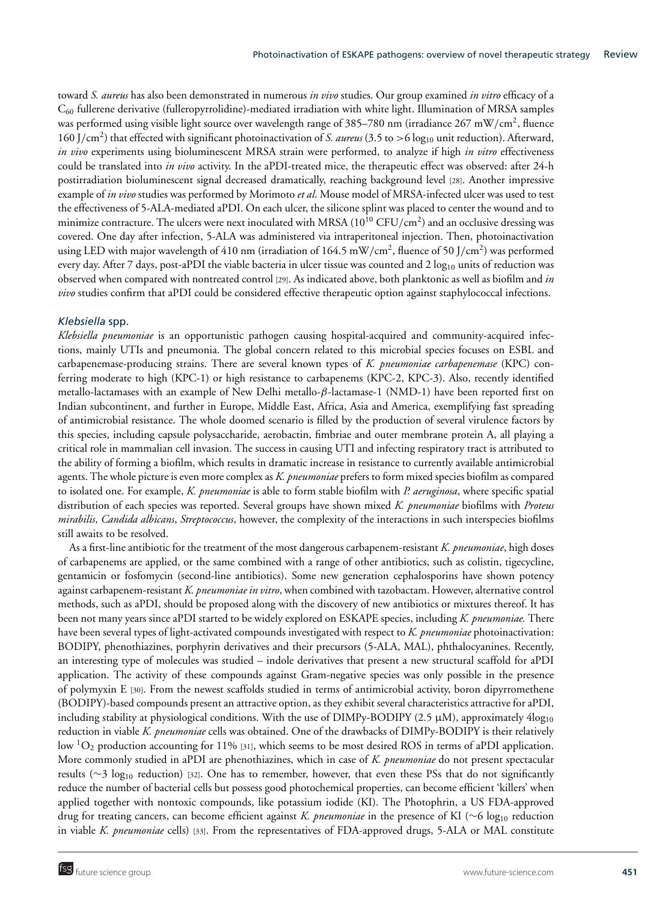toward *S. aureus* has also been demonstrated in numerous *in vivo* studies. Our group examined *in vitro* efficacy of a C60 fullerene derivative (fulleropyrrolidine)-mediated irradiation with white light. Illumination of MRSA samples was performed using visible light source over wavelength range of 385–780 nm (irradiance 267 mW/cm<sup>2</sup>, fluence 160 J/cm<sup>2</sup>) that effected with significant photoinactivation of *S. aureus* (3.5 to >6 log<sub>10</sub> unit reduction). Afterward, *in vivo* experiments using bioluminescent MRSA strain were performed, to analyze if high *in vitro* effectiveness could be translated into *in vivo* activity. In the aPDI-treated mice, the therapeutic effect was observed: after 24-h postirradiation bioluminescent signal decreased dramatically, reaching background level [28]. Another impressive example of *in vivo* studies was performed by Morimoto *et al*. Mouse model of MRSA-infected ulcer was used to test the effectiveness of 5-ALA-mediated aPDI. On each ulcer, the silicone splint was placed to center the wound and to minimize contracture. The ulcers were next inoculated with MRSA  $(10^{10} CFU/cm<sup>2</sup>)$  and an occlusive dressing was covered. One day after infection, 5-ALA was administered via intraperitoneal injection. Then, photoinactivation using LED with major wavelength of 410 nm (irradiation of 164.5 mW/cm<sup>2</sup>, fluence of 50 J/cm<sup>2</sup>) was performed every day. After 7 days, post-aPDI the viable bacteria in ulcer tissue was counted and  $2 \log_{10}$  units of reduction was observed when compared with nontreated control [29]. As indicated above, both planktonic as well as biofilm and *in vivo* studies confirm that aPDI could be considered effective therapeutic option against staphylococcal infections.

# *Klebsiella* spp.

*Klebsiella pneumoniae* is an opportunistic pathogen causing hospital-acquired and community-acquired infections, mainly UTIs and pneumonia. The global concern related to this microbial species focuses on ESBL and carbapenemase-producing strains. There are several known types of *K. pneumoniae carbapenemase* (KPC) conferring moderate to high (KPC-1) or high resistance to carbapenems (KPC-2, KPC-3). Also, recently identified metallo-lactamases with an example of New Delhi metallo-β-lactamase-1 (NMD-1) have been reported first on Indian subcontinent, and further in Europe, Middle East, Africa, Asia and America, exemplifying fast spreading of antimicrobial resistance. The whole doomed scenario is filled by the production of several virulence factors by this species, including capsule polysaccharide, aerobactin, fimbriae and outer membrane protein A, all playing a critical role in mammalian cell invasion. The success in causing UTI and infecting respiratory tract is attributed to the ability of forming a biofilm, which results in dramatic increase in resistance to currently available antimicrobial agents. The whole picture is even more complex as *K. pneumoniae* prefers to form mixed species biofilm as compared to isolated one. For example, *K. pneumoniae* is able to form stable biofilm with *P. aeruginosa*, where specific spatial distribution of each species was reported. Several groups have shown mixed *K. pneumoniae* biofilms with *Proteus mirabilis*, *Candida albicans*, *Streptococcus*, however, the complexity of the interactions in such interspecies biofilms still awaits to be resolved.

As a first-line antibiotic for the treatment of the most dangerous carbapenem-resistant *K. pneumoniae*, high doses of carbapenems are applied, or the same combined with a range of other antibiotics, such as colistin, tigecycline, gentamicin or fosfomycin (second-line antibiotics). Some new generation cephalosporins have shown potency against carbapenem-resistant *K. pneumoniae in vitro*, when combined with tazobactam. However, alternative control methods, such as aPDI, should be proposed along with the discovery of new antibiotics or mixtures thereof. It has been not many years since aPDI started to be widely explored on ESKAPE species, including *K. pneumoniae.* There have been several types of light-activated compounds investigated with respect to *K. pneumoniae* photoinactivation: BODIPY, phenothiazines, porphyrin derivatives and their precursors (5-ALA, MAL), phthalocyanines. Recently, an interesting type of molecules was studied – indole derivatives that present a new structural scaffold for aPDI application. The activity of these compounds against Gram-negative species was only possible in the presence of polymyxin E [30]. From the newest scaffolds studied in terms of antimicrobial activity, boron dipyrromethene (BODIPY)-based compounds present an attractive option, as they exhibit several characteristics attractive for aPDI, including stability at physiological conditions. With the use of  $DIMPy-BODIPY$  (2.5  $\mu$ M), approximately  $4\log_{10}$ reduction in viable *K. pneumoniae* cells was obtained. One of the drawbacks of DIMPy-BODIPY is their relatively low  ${}^{1}O_{2}$  production accounting for 11% [31], which seems to be most desired ROS in terms of aPDI application. More commonly studied in aPDI are phenothiazines, which in case of *K. pneumoniae* do not present spectacular results ( $\sim$ 3 log<sub>10</sub> reduction) [32]. One has to remember, however, that even these PSs that do not significantly reduce the number of bacterial cells but possess good photochemical properties, can become efficient 'killers' when applied together with nontoxic compounds, like potassium iodide (KI). The Photophrin, a US FDA-approved drug for treating cancers, can become efficient against *K. pneumoniae* in the presence of KI (∼6 log<sub>10</sub> reduction in viable *K. pneumoniae* cells) [33]. From the representatives of FDA-approved drugs, 5-ALA or MAL constitute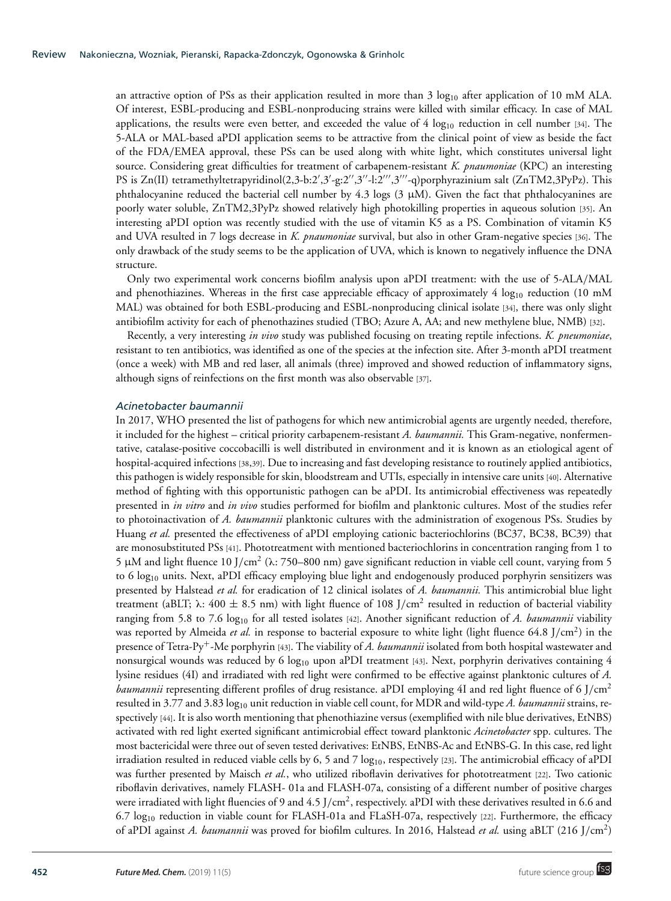an attractive option of PSs as their application resulted in more than  $3 \log_{10}$  after application of 10 mM ALA. Of interest, ESBL-producing and ESBL-nonproducing strains were killed with similar efficacy. In case of MAL applications, the results were even better, and exceeded the value of  $4 \log_{10}$  reduction in cell number [34]. The 5-ALA or MAL-based aPDI application seems to be attractive from the clinical point of view as beside the fact of the FDA/EMEA approval, these PSs can be used along with white light, which constitutes universal light source. Considering great difficulties for treatment of carbapenem-resistant *K. pnaumoniae* (KPC) an interesting PS is Zn(II) tetramethyltetrapyridinol(2,3-b:2',3'-g:2'',3''-l:2''',3'''-q)porphyrazinium salt (ZnTM2,3PyPz). This phthalocyanine reduced the bacterial cell number by 4.3 logs  $(3 \mu M)$ . Given the fact that phthalocyanines are poorly water soluble, ZnTM2,3PyPz showed relatively high photokilling properties in aqueous solution [35]. An interesting aPDI option was recently studied with the use of vitamin K5 as a PS. Combination of vitamin K5 and UVA resulted in 7 logs decrease in *K. pnaumoniae* survival, but also in other Gram-negative species [36]. The only drawback of the study seems to be the application of UVA, which is known to negatively influence the DNA structure.

Only two experimental work concerns biofilm analysis upon aPDI treatment: with the use of 5-ALA/MAL and phenothiazines. Whereas in the first case appreciable efficacy of approximately  $4 \log_{10}$  reduction (10 mM) MAL) was obtained for both ESBL-producing and ESBL-nonproducing clinical isolate [34], there was only slight antibiofilm activity for each of phenothazines studied (TBO; Azure A, AA; and new methylene blue, NMB) [32].

Recently, a very interesting *in vivo* study was published focusing on treating reptile infections. *K. pneumoniae*, resistant to ten antibiotics, was identified as one of the species at the infection site. After 3-month aPDI treatment (once a week) with MB and red laser, all animals (three) improved and showed reduction of inflammatory signs, although signs of reinfections on the first month was also observable [37].

#### *Acinetobacter baumannii*

In 2017, WHO presented the list of pathogens for which new antimicrobial agents are urgently needed, therefore, it included for the highest – critical priority carbapenem-resistant *A. baumannii.* This Gram-negative, nonfermentative, catalase-positive coccobacilli is well distributed in environment and it is known as an etiological agent of hospital-acquired infections [38,39]. Due to increasing and fast developing resistance to routinely applied antibiotics, this pathogen is widely responsible for skin, bloodstream and UTIs, especially in intensive care units [40]. Alternative method of fighting with this opportunistic pathogen can be aPDI. Its antimicrobial effectiveness was repeatedly presented in *in vitro* and *in vivo* studies performed for biofilm and planktonic cultures. Most of the studies refer to photoinactivation of *A. baumannii* planktonic cultures with the administration of exogenous PSs. Studies by Huang *et al.* presented the effectiveness of aPDI employing cationic bacteriochlorins (BC37, BC38, BC39) that are monosubstituted PSs [41]. Phototreatment with mentioned bacteriochlorins in concentration ranging from 1 to 5 μM and light fluence 10 J/cm<sup>2</sup> (λ: 750–800 nm) gave significant reduction in viable cell count, varying from 5 to 6 log<sub>10</sub> units. Next, aPDI efficacy employing blue light and endogenously produced porphyrin sensitizers was presented by Halstead *et al.* for eradication of 12 clinical isolates of *A. baumannii.* This antimicrobial blue light treatment (aBLT;  $\lambda$ : 400  $\pm$  8.5 nm) with light fluence of 108 J/cm<sup>2</sup> resulted in reduction of bacterial viability ranging from 5.8 to 7.6 log<sub>10</sub> for all tested isolates [42]. Another significant reduction of *A. baumannii* viability was reported by Almeida *et al.* in response to bacterial exposure to white light (light fluence 64.8 J/cm<sup>2</sup>) in the presence of Tetra-Py+-Me porphyrin [43]. The viability of *A. baumannii* isolated from both hospital wastewater and nonsurgical wounds was reduced by 6  $log_{10}$  upon aPDI treatment [43]. Next, porphyrin derivatives containing 4 lysine residues (4I) and irradiated with red light were confirmed to be effective against planktonic cultures of *A. baumannii* representing different profiles of drug resistance. aPDI employing 4I and red light fluence of 6 J/cm2 resulted in 3.77 and 3.83 log10 unit reduction in viable cell count, for MDR and wild-type *A. baumannii* strains, respectively [44]. It is also worth mentioning that phenothiazine versus (exemplified with nile blue derivatives, EtNBS) activated with red light exerted significant antimicrobial effect toward planktonic *Acinetobacter* spp. cultures. The most bactericidal were three out of seven tested derivatives: EtNBS, EtNBS-Ac and EtNBS-G. In this case, red light irradiation resulted in reduced viable cells by 6, 5 and 7  $log_{10}$ , respectively [23]. The antimicrobial efficacy of aPDI was further presented by Maisch *et al.*, who utilized riboflavin derivatives for phototreatment [22]. Two cationic riboflavin derivatives, namely FLASH- 01a and FLASH-07a, consisting of a different number of positive charges were irradiated with light fluencies of 9 and 4.5  $J/cm<sup>2</sup>$ , respectively. aPDI with these derivatives resulted in 6.6 and 6.7  $log_{10}$  reduction in viable count for FLASH-01a and FLaSH-07a, respectively [22]. Furthermore, the efficacy of aPDI against *A. baumannii* was proved for biofilm cultures. In 2016, Halstead *et al.* using aBLT (216 J/cm2)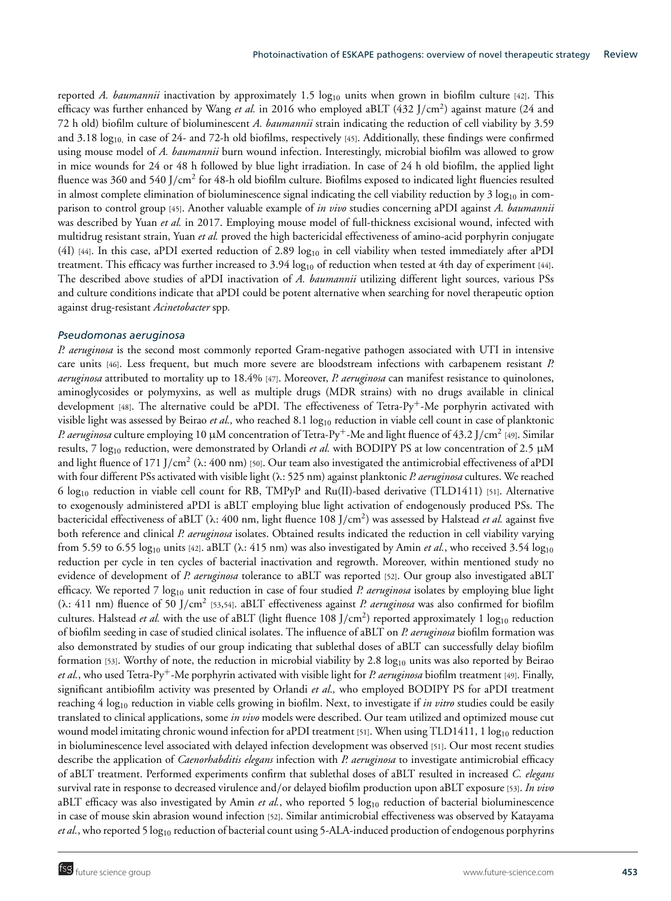reported *A. baumannii* inactivation by approximately 1.5 log<sub>10</sub> units when grown in biofilm culture [42]. This efficacy was further enhanced by Wang *et al.* in 2016 who employed aBLT (432 J/cm<sup>2</sup>) against mature (24 and 72 h old) biofilm culture of bioluminescent *A. baumannii* strain indicating the reduction of cell viability by 3.59 and 3.18  $log_{10}$  in case of 24- and 72-h old biofilms, respectively [45]. Additionally, these findings were confirmed using mouse model of *A. baumannii* burn wound infection. Interestingly, microbial biofilm was allowed to grow in mice wounds for 24 or 48 h followed by blue light irradiation. In case of 24 h old biofilm, the applied light fluence was 360 and 540 J/cm<sup>2</sup> for 48-h old biofilm culture. Biofilms exposed to indicated light fluencies resulted in almost complete elimination of bioluminescence signal indicating the cell viability reduction by 3  $log_{10}$  in comparison to control group [45]. Another valuable example of *in vivo* studies concerning aPDI against *A. baumannii* was described by Yuan *et al.* in 2017. Employing mouse model of full-thickness excisional wound, infected with multidrug resistant strain, Yuan *et al.* proved the high bactericidal effectiveness of amino-acid porphyrin conjugate (4I) [44]. In this case, aPDI exerted reduction of 2.89  $log_{10}$  in cell viability when tested immediately after aPDI treatment. This efficacy was further increased to  $3.94 \log_{10}$  of reduction when tested at 4th day of experiment [44]. The described above studies of aPDI inactivation of *A. baumannii* utilizing different light sources, various PSs and culture conditions indicate that aPDI could be potent alternative when searching for novel therapeutic option against drug-resistant *Acinetobacter* spp*.*

#### *Pseudomonas aeruginosa*

*P. aeruginosa* is the second most commonly reported Gram-negative pathogen associated with UTI in intensive care units [46]. Less frequent, but much more severe are bloodstream infections with carbapenem resistant *P. aeruginosa* attributed to mortality up to 18.4% [47]. Moreover, *P. aeruginosa* can manifest resistance to quinolones, aminoglycosides or polymyxins, as well as multiple drugs (MDR strains) with no drugs available in clinical development [48]. The alternative could be aPDI. The effectiveness of Tetra-Py<sup>+</sup>-Me porphyrin activated with visible light was assessed by Beirao *et al.*, who reached 8.1 log<sub>10</sub> reduction in viable cell count in case of planktonic *P. aeruginosa* culture employing 10 μM concentration of Tetra-Py<sup>+</sup>-Me and light fluence of 43.2 J/cm<sup>2</sup> [49]. Similar results, 7 log10 reduction, were demonstrated by Orlandi *et al.* with BODIPY PS at low concentration of 2.5 μM and light fluence of 171 J/cm<sup>2</sup> ( $\lambda$ : 400 nm) [50]. Our team also investigated the antimicrobial effectiveness of aPDI with four different PSs activated with visible light (λ: 525 nm) against planktonic *P. aeruginosa* cultures. We reached 6 log10 reduction in viable cell count for RB, TMPyP and Ru(II)-based derivative (TLD1411) [51]. Alternative to exogenously administered aPDI is aBLT employing blue light activation of endogenously produced PSs. The bactericidal effectiveness of aBLT (λ: 400 nm, light fluence 108 J/cm2) was assessed by Halstead *et al.* against five both reference and clinical *P. aeruginosa* isolates. Obtained results indicated the reduction in cell viability varying from 5.59 to 6.55 log<sub>10</sub> units [42]. aBLT ( $\lambda$ : 415 nm) was also investigated by Amin *et al.*, who received 3.54 log<sub>10</sub> reduction per cycle in ten cycles of bacterial inactivation and regrowth. Moreover, within mentioned study no evidence of development of *P. aeruginosa* tolerance to aBLT was reported [52]. Our group also investigated aBLT efficacy. We reported 7 log10 unit reduction in case of four studied *P. aeruginosa* isolates by employing blue light ( $\lambda$ : 411 nm) fluence of 50 J/cm<sup>2</sup> [53,54]. aBLT effectiveness against *P. aeruginosa* was also confirmed for biofilm cultures. Halstead *et al.* with the use of aBLT (light fluence 108 J/cm<sup>2</sup>) reported approximately 1 log<sub>10</sub> reduction of biofilm seeding in case of studied clinical isolates. The influence of aBLT on *P. aeruginosa* biofilm formation was also demonstrated by studies of our group indicating that sublethal doses of aBLT can successfully delay biofilm formation [53]. Worthy of note, the reduction in microbial viability by 2.8  $log_{10}$  units was also reported by Beirao *et al.*, who used Tetra-Py+-Me porphyrin activated with visible light for *P. aeruginosa* biofilm treatment [49]. Finally, significant antibiofilm activity was presented by Orlandi *et al.,* who employed BODIPY PS for aPDI treatment reaching 4 log<sub>10</sub> reduction in viable cells growing in biofilm. Next, to investigate if *in vitro* studies could be easily translated to clinical applications, some *in vivo* models were described. Our team utilized and optimized mouse cut wound model imitating chronic wound infection for aPDI treatment [51]. When using TLD1411, 1  $\log_{10}$  reduction in bioluminescence level associated with delayed infection development was observed [51]. Our most recent studies describe the application of *Caenorhabditis elegans* infection with *P. aeruginosa* to investigate antimicrobial efficacy of aBLT treatment. Performed experiments confirm that sublethal doses of aBLT resulted in increased *C. elegans* survival rate in response to decreased virulence and/or delayed biofilm production upon aBLT exposure [53]. *In vivo* aBLT efficacy was also investigated by Amin *et al.*, who reported 5 log<sub>10</sub> reduction of bacterial bioluminescence in case of mouse skin abrasion wound infection [52]. Similar antimicrobial effectiveness was observed by Katayama *et al.*, who reported 5 log<sub>10</sub> reduction of bacterial count using 5-ALA-induced production of endogenous porphyrins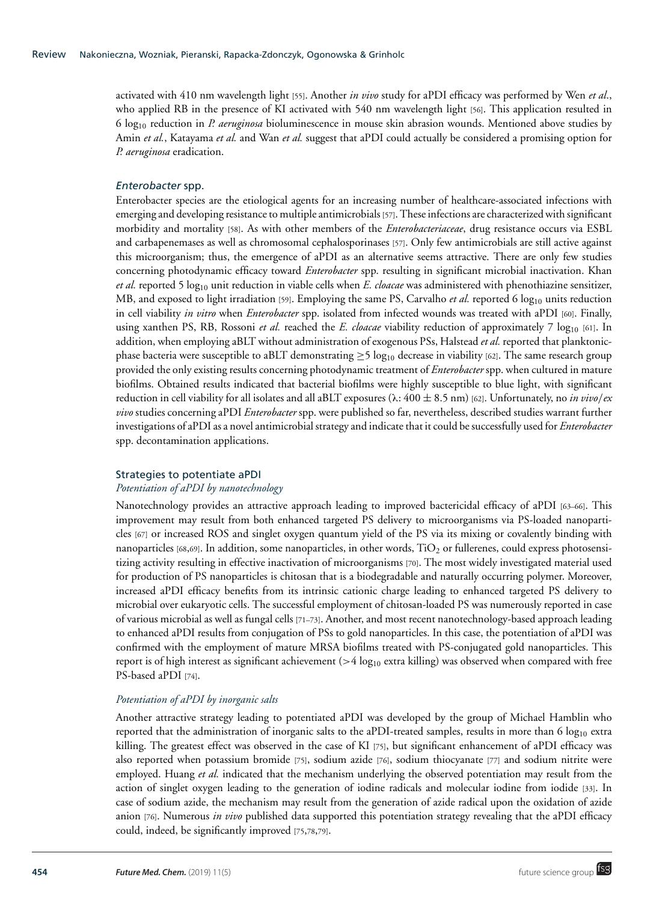activated with 410 nm wavelength light [55]. Another *in vivo* study for aPDI efficacy was performed by Wen *et al*., who applied RB in the presence of KI activated with 540 nm wavelength light [56]. This application resulted in 6 log10 reduction in *P. aeruginosa* bioluminescence in mouse skin abrasion wounds. Mentioned above studies by Amin *et al.*, Katayama *et al.* and Wan *et al.* suggest that aPDI could actually be considered a promising option for *P. aeruginosa* eradication.

# *Enterobacter* spp.

Enterobacter species are the etiological agents for an increasing number of healthcare-associated infections with emerging and developing resistance to multiple antimicrobials [57]. These infections are characterized with significant morbidity and mortality [58]. As with other members of the *Enterobacteriaceae*, drug resistance occurs via ESBL and carbapenemases as well as chromosomal cephalosporinases [57]. Only few antimicrobials are still active against this microorganism; thus, the emergence of aPDI as an alternative seems attractive. There are only few studies concerning photodynamic efficacy toward *Enterobacter* spp. resulting in significant microbial inactivation. Khan *et al.* reported 5 log10 unit reduction in viable cells when *E. cloacae* was administered with phenothiazine sensitizer, MB, and exposed to light irradiation [59]. Employing the same PS, Carvalho *et al.* reported 6 log<sub>10</sub> units reduction in cell viability *in vitro* when *Enterobacter* spp. isolated from infected wounds was treated with aPDI [60]. Finally, using xanthen PS, RB, Rossoni *et al.* reached the *E. cloacae* viability reduction of approximately 7 log<sub>10</sub> [61]. In addition, when employing aBLT without administration of exogenous PSs, Halstead *et al.* reported that planktonicphase bacteria were susceptible to aBLT demonstrating  $\geq$ 5 log<sub>10</sub> decrease in viability [62]. The same research group provided the only existing results concerning photodynamic treatment of *Enterobacter* spp. when cultured in mature biofilms. Obtained results indicated that bacterial biofilms were highly susceptible to blue light, with significant reduction in cell viability for all isolates and all aBLT exposures (λ: 400 ± 8.5 nm) [62]. Unfortunately, no *in vivo*/*ex vivo* studies concerning aPDI *Enterobacter* spp. were published so far, nevertheless, described studies warrant further investigations of aPDI as a novel antimicrobial strategy and indicate that it could be successfully used for *Enterobacter* spp. decontamination applications.

# Strategies to potentiate aPDI

## *Potentiation of aPDI by nanotechnology*

Nanotechnology provides an attractive approach leading to improved bactericidal efficacy of aPDI [63–66]. This improvement may result from both enhanced targeted PS delivery to microorganisms via PS-loaded nanoparticles [67] or increased ROS and singlet oxygen quantum yield of the PS via its mixing or covalently binding with nanoparticles  $[68,69]$ . In addition, some nanoparticles, in other words,  $TiO<sub>2</sub>$  or fullerenes, could express photosensitizing activity resulting in effective inactivation of microorganisms [70]. The most widely investigated material used for production of PS nanoparticles is chitosan that is a biodegradable and naturally occurring polymer. Moreover, increased aPDI efficacy benefits from its intrinsic cationic charge leading to enhanced targeted PS delivery to microbial over eukaryotic cells. The successful employment of chitosan-loaded PS was numerously reported in case of various microbial as well as fungal cells [71–73]. Another, and most recent nanotechnology-based approach leading to enhanced aPDI results from conjugation of PSs to gold nanoparticles. In this case, the potentiation of aPDI was confirmed with the employment of mature MRSA biofilms treated with PS-conjugated gold nanoparticles. This report is of high interest as significant achievement ( $>$ 4 log<sub>10</sub> extra killing) was observed when compared with free PS-based aPDI [74].

# *Potentiation of aPDI by inorganic salts*

Another attractive strategy leading to potentiated aPDI was developed by the group of Michael Hamblin who reported that the administration of inorganic salts to the aPDI-treated samples, results in more than 6  $log_{10}$  extra killing. The greatest effect was observed in the case of KI [75], but significant enhancement of aPDI efficacy was also reported when potassium bromide [75], sodium azide [76], sodium thiocyanate [77] and sodium nitrite were employed. Huang *et al.* indicated that the mechanism underlying the observed potentiation may result from the action of singlet oxygen leading to the generation of iodine radicals and molecular iodine from iodide [33]. In case of sodium azide, the mechanism may result from the generation of azide radical upon the oxidation of azide anion [76]. Numerous *in vivo* published data supported this potentiation strategy revealing that the aPDI efficacy could, indeed, be significantly improved [75,78,79].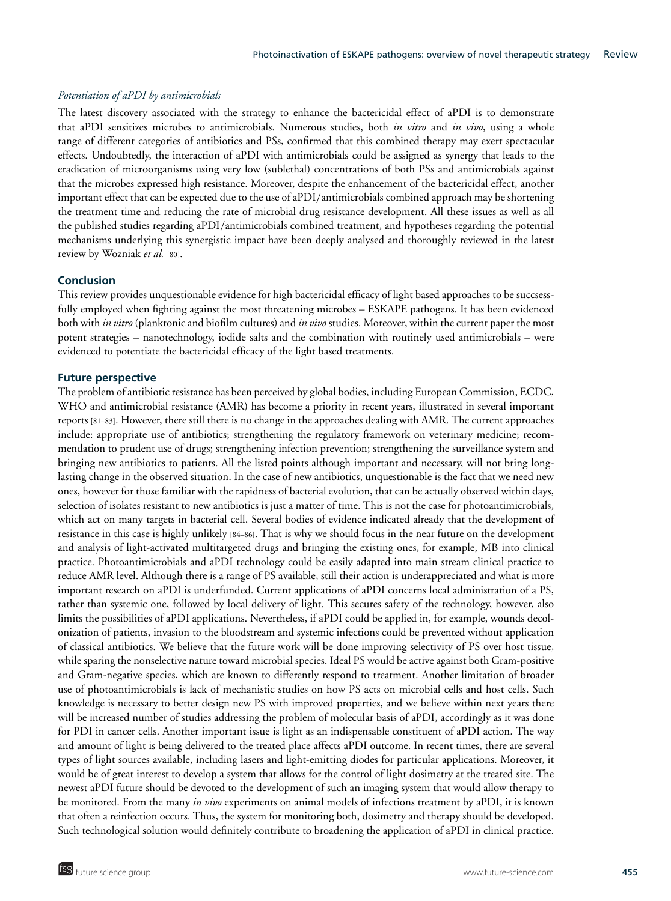# *Potentiation of aPDI by antimicrobials*

The latest discovery associated with the strategy to enhance the bactericidal effect of aPDI is to demonstrate that aPDI sensitizes microbes to antimicrobials. Numerous studies, both *in vitro* and *in vivo*, using a whole range of different categories of antibiotics and PSs, confirmed that this combined therapy may exert spectacular effects. Undoubtedly, the interaction of aPDI with antimicrobials could be assigned as synergy that leads to the eradication of microorganisms using very low (sublethal) concentrations of both PSs and antimicrobials against that the microbes expressed high resistance. Moreover, despite the enhancement of the bactericidal effect, another important effect that can be expected due to the use of aPDI/antimicrobials combined approach may be shortening the treatment time and reducing the rate of microbial drug resistance development. All these issues as well as all the published studies regarding aPDI/antimicrobials combined treatment, and hypotheses regarding the potential mechanisms underlying this synergistic impact have been deeply analysed and thoroughly reviewed in the latest review by Wozniak *et al.* [80].

# **Conclusion**

This review provides unquestionable evidence for high bactericidal efficacy of light based approaches to be succsessfully employed when fighting against the most threatening microbes – ESKAPE pathogens. It has been evidenced both with *in vitro* (planktonic and biofilm cultures) and *in vivo* studies. Moreover, within the current paper the most potent strategies – nanotechnology, iodide salts and the combination with routinely used antimicrobials – were evidenced to potentiate the bactericidal efficacy of the light based treatments.

## **Future perspective**

The problem of antibiotic resistance has been perceived by global bodies, including European Commission, ECDC, WHO and antimicrobial resistance (AMR) has become a priority in recent years, illustrated in several important reports [81–83]. However, there still there is no change in the approaches dealing with AMR. The current approaches include: appropriate use of antibiotics; strengthening the regulatory framework on veterinary medicine; recommendation to prudent use of drugs; strengthening infection prevention; strengthening the surveillance system and bringing new antibiotics to patients. All the listed points although important and necessary, will not bring longlasting change in the observed situation. In the case of new antibiotics, unquestionable is the fact that we need new ones, however for those familiar with the rapidness of bacterial evolution, that can be actually observed within days, selection of isolates resistant to new antibiotics is just a matter of time. This is not the case for photoantimicrobials, which act on many targets in bacterial cell. Several bodies of evidence indicated already that the development of resistance in this case is highly unlikely [84–86]. That is why we should focus in the near future on the development and analysis of light-activated multitargeted drugs and bringing the existing ones, for example, MB into clinical practice. Photoantimicrobials and aPDI technology could be easily adapted into main stream clinical practice to reduce AMR level. Although there is a range of PS available, still their action is underappreciated and what is more important research on aPDI is underfunded. Current applications of aPDI concerns local administration of a PS, rather than systemic one, followed by local delivery of light. This secures safety of the technology, however, also limits the possibilities of aPDI applications. Nevertheless, if aPDI could be applied in, for example, wounds decolonization of patients, invasion to the bloodstream and systemic infections could be prevented without application of classical antibiotics. We believe that the future work will be done improving selectivity of PS over host tissue, while sparing the nonselective nature toward microbial species. Ideal PS would be active against both Gram-positive and Gram-negative species, which are known to differently respond to treatment. Another limitation of broader use of photoantimicrobials is lack of mechanistic studies on how PS acts on microbial cells and host cells. Such knowledge is necessary to better design new PS with improved properties, and we believe within next years there will be increased number of studies addressing the problem of molecular basis of aPDI, accordingly as it was done for PDI in cancer cells. Another important issue is light as an indispensable constituent of aPDI action. The way and amount of light is being delivered to the treated place affects aPDI outcome. In recent times, there are several types of light sources available, including lasers and light-emitting diodes for particular applications. Moreover, it would be of great interest to develop a system that allows for the control of light dosimetry at the treated site. The newest aPDI future should be devoted to the development of such an imaging system that would allow therapy to be monitored. From the many *in vivo* experiments on animal models of infections treatment by aPDI, it is known that often a reinfection occurs. Thus, the system for monitoring both, dosimetry and therapy should be developed. Such technological solution would definitely contribute to broadening the application of aPDI in clinical practice.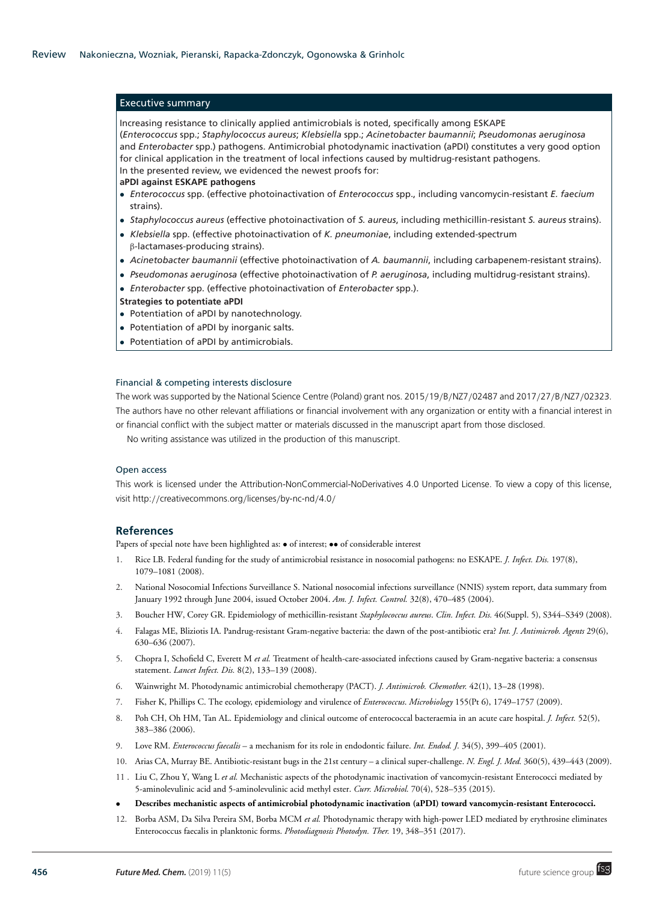## Executive summary

Increasing resistance to clinically applied antimicrobials is noted, specifically among ESKAPE (*Enterococcus* spp.; *Staphylococcus aureus*; *Klebsiella* spp.; *Acinetobacter baumannii*; *Pseudomonas aeruginosa* and *Enterobacter* spp.) pathogens. Antimicrobial photodynamic inactivation (aPDI) constitutes a very good option for clinical application in the treatment of local infections caused by multidrug-resistant pathogens. In the presented review, we evidenced the newest proofs for:

#### **aPDI against ESKAPE pathogens**

- *Enterococcus* spp. (effective photoinactivation of *Enterococcus* spp., including vancomycin-resistant *E. faecium* strains).
- *Staphylococcus aureus* (effective photoinactivation of *S. aureus*, including methicillin-resistant *S. aureus* strains).
- *Klebsiella* spp. (effective photoinactivation of *K. pneumoniae*, including extended-spectrum β-lactamases-producing strains).
- *Acinetobacter baumannii* (effective photoinactivation of *A. baumannii*, including carbapenem-resistant strains).
- *Pseudomonas aeruginosa* (effective photoinactivation of *P. aeruginosa*, including multidrug-resistant strains).
- *Enterobacter* spp. (effective photoinactivation of *Enterobacter* spp.).

#### **Strategies to potentiate aPDI**

- Potentiation of aPDI by nanotechnology.
- Potentiation of aPDI by inorganic salts.
- Potentiation of aPDI by antimicrobials.

## Financial & competing interests disclosure

The work was supported by the National Science Centre (Poland) grant nos. 2015/19/B/NZ7/02487 and 2017/27/B/NZ7/02323. The authors have no other relevant affiliations or financial involvement with any organization or entity with a financial interest in or financial conflict with the subject matter or materials discussed in the manuscript apart from those disclosed.

No writing assistance was utilized in the production of this manuscript.

#### Open access

This work is licensed under the Attribution-NonCommercial-NoDerivatives 4.0 Unported License. To view a copy of this license, visit http://creativecommons.org/licenses/by-nc-nd/4.0/

## **References**

Papers of special note have been highlighted as:  $\bullet$  of interest;  $\bullet\bullet$  of considerable interest

- 1. Rice LB. Federal funding for the study of antimicrobial resistance in nosocomial pathogens: no ESKAPE. *J. Infect. Dis.* 197(8), 1079–1081 (2008).
- 2. National Nosocomial Infections Surveillance S. National nosocomial infections surveillance (NNIS) system report, data summary from January 1992 through June 2004, issued October 2004. *Am. J. Infect. Control.* 32(8), 470–485 (2004).
- 3. Boucher HW, Corey GR. Epidemiology of methicillin-resistant *Staphylococcus aureus*. *Clin. Infect. Dis.* 46(Suppl. 5), S344–S349 (2008).
- 4. Falagas ME, Bliziotis IA. Pandrug-resistant Gram-negative bacteria: the dawn of the post-antibiotic era? *Int. J. Antimicrob. Agents* 29(6), 630–636 (2007).
- 5. Chopra I, Schofield C, Everett M *et al.* Treatment of health-care-associated infections caused by Gram-negative bacteria: a consensus statement. *Lancet Infect. Dis.* 8(2), 133–139 (2008).
- 6. Wainwright M. Photodynamic antimicrobial chemotherapy (PACT). *J. Antimicrob. Chemother.* 42(1), 13–28 (1998).
- 7. Fisher K, Phillips C. The ecology, epidemiology and virulence of *Enterococcus*. *Microbiology* 155(Pt 6), 1749–1757 (2009).
- 8. Poh CH, Oh HM, Tan AL. Epidemiology and clinical outcome of enterococcal bacteraemia in an acute care hospital. *J. Infect.* 52(5), 383–386 (2006).
- 9. Love RM. *Enterococcus faecalis* a mechanism for its role in endodontic failure. *Int. Endod. J.* 34(5), 399–405 (2001).
- 10. Arias CA, Murray BE. Antibiotic-resistant bugs in the 21st century a clinical super-challenge. *N. Engl. J. Med.* 360(5), 439–443 (2009).
- 11 . Liu C, Zhou Y, Wang L *et al.* Mechanistic aspects of the photodynamic inactivation of vancomycin-resistant Enterococci mediated by 5-aminolevulinic acid and 5-aminolevulinic acid methyl ester. *Curr. Microbiol.* 70(4), 528–535 (2015).
- **Describes mechanistic aspects of antimicrobial photodynamic inactivation (aPDI) toward vancomycin-resistant Enterococci.**
- 12. Borba ASM, Da Silva Pereira SM, Borba MCM *et al.* Photodynamic therapy with high-power LED mediated by erythrosine eliminates Enterococcus faecalis in planktonic forms. *Photodiagnosis Photodyn. Ther.* 19, 348–351 (2017).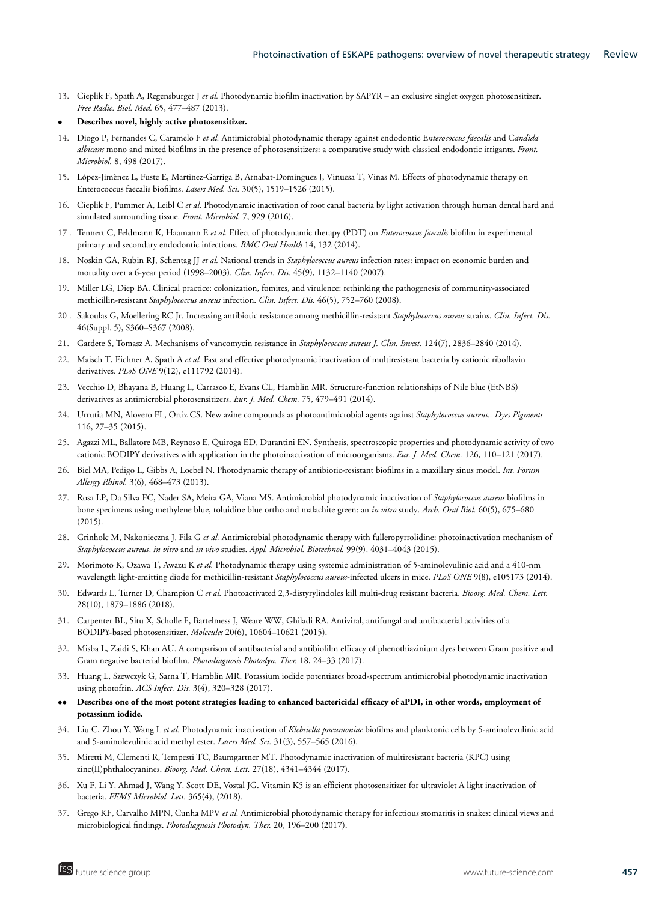13. Cieplik F, Spath A, Regensburger J *et al.* Photodynamic biofilm inactivation by SAPYR – an exclusive singlet oxygen photosensitizer. *Free Radic. Biol. Med.* 65, 477–487 (2013).

#### • **Describes novel, highly active photosensitizer.**

- 14. Diogo P, Fernandes C, Caramelo F *et al.* Antimicrobial photodynamic therapy against endodontic E*nterococcus faecalis* and C*andida albicans* mono and mixed biofilms in the presence of photosensitizers: a comparative study with classical endodontic irrigants. *Front. Microbiol.* 8, 498 (2017).
- 15. López-Jimènez L, Fuste E, Martinez-Garriga B, Arnabat-Dominguez J, Vinuesa T, Vinas M. Effects of photodynamic therapy on Enterococcus faecalis biofilms. *Lasers Med. Sci.* 30(5), 1519–1526 (2015).
- 16. Cieplik F, Pummer A, Leibl C *et al.* Photodynamic inactivation of root canal bacteria by light activation through human dental hard and simulated surrounding tissue. *Front. Microbiol.* 7, 929 (2016).
- 17 . Tennert C, Feldmann K, Haamann E *et al.* Effect of photodynamic therapy (PDT) on *Enterococcus faecalis* biofilm in experimental primary and secondary endodontic infections. *BMC Oral Health* 14, 132 (2014).
- 18. Noskin GA, Rubin RJ, Schentag JJ *et al.* National trends in *Staphylococcus aureus* infection rates: impact on economic burden and mortality over a 6-year period (1998–2003). *Clin. Infect. Dis.* 45(9), 1132–1140 (2007).
- 19. Miller LG, Diep BA. Clinical practice: colonization, fomites, and virulence: rethinking the pathogenesis of community-associated methicillin-resistant *Staphylococcus aureus* infection. *Clin. Infect. Dis.* 46(5), 752–760 (2008).
- 20 . Sakoulas G, Moellering RC Jr. Increasing antibiotic resistance among methicillin-resistant *Staphylococcus aureus* strains. *Clin. Infect. Dis.* 46(Suppl. 5), S360–S367 (2008).
- 21. Gardete S, Tomasz A. Mechanisms of vancomycin resistance in *Staphylococcus aureus J. Clin. Invest.* 124(7), 2836–2840 (2014).
- 22. Maisch T, Eichner A, Spath A *et al.* Fast and effective photodynamic inactivation of multiresistant bacteria by cationic riboflavin derivatives. *PLoS ONE* 9(12), e111792 (2014).
- 23. Vecchio D, Bhayana B, Huang L, Carrasco E, Evans CL, Hamblin MR. Structure-function relationships of Nile blue (EtNBS) derivatives as antimicrobial photosensitizers. *Eur. J. Med. Chem.* 75, 479–491 (2014).
- 24. Urrutia MN, Alovero FL, Ortiz CS. New azine compounds as photoantimicrobial agents against *Staphylococcus aureus.. Dyes Pigments* 116, 27–35 (2015).
- 25. Agazzi ML, Ballatore MB, Reynoso E, Quiroga ED, Durantini EN. Synthesis, spectroscopic properties and photodynamic activity of two cationic BODIPY derivatives with application in the photoinactivation of microorganisms. *Eur. J. Med. Chem.* 126, 110–121 (2017).
- 26. Biel MA, Pedigo L, Gibbs A, Loebel N. Photodynamic therapy of antibiotic-resistant biofilms in a maxillary sinus model. *Int. Forum Allergy Rhinol.* 3(6), 468–473 (2013).
- 27. Rosa LP, Da Silva FC, Nader SA, Meira GA, Viana MS. Antimicrobial photodynamic inactivation of *Staphylococcus aureus* biofilms in bone specimens using methylene blue, toluidine blue ortho and malachite green: an *in vitro* study. *Arch. Oral Biol.* 60(5), 675–680 (2015).
- 28. Grinholc M, Nakonieczna J, Fila G *et al.* Antimicrobial photodynamic therapy with fulleropyrrolidine: photoinactivation mechanism of *Staphylococcus aureus*, *in vitro* and *in vivo* studies. *Appl. Microbiol. Biotechnol.* 99(9), 4031–4043 (2015).
- 29. Morimoto K, Ozawa T, Awazu K *et al.* Photodynamic therapy using systemic administration of 5-aminolevulinic acid and a 410-nm wavelength light-emitting diode for methicillin-resistant *Staphylococcus aureus*-infected ulcers in mice. *PLoS ONE* 9(8), e105173 (2014).
- 30. Edwards L, Turner D, Champion C *et al.* Photoactivated 2,3-distyrylindoles kill multi-drug resistant bacteria. *Bioorg. Med. Chem. Lett.* 28(10), 1879–1886 (2018).
- 31. Carpenter BL, Situ X, Scholle F, Bartelmess J, Weare WW, Ghiladi RA. Antiviral, antifungal and antibacterial activities of a BODIPY-based photosensitizer. *Molecules* 20(6), 10604–10621 (2015).
- 32. Misba L, Zaidi S, Khan AU. A comparison of antibacterial and antibiofilm efficacy of phenothiazinium dyes between Gram positive and Gram negative bacterial biofilm. *Photodiagnosis Photodyn. Ther.* 18, 24–33 (2017).
- 33. Huang L, Szewczyk G, Sarna T, Hamblin MR. Potassium iodide potentiates broad-spectrum antimicrobial photodynamic inactivation using photofrin. *ACS Infect. Dis.* 3(4), 320–328 (2017).
- •• **Describes one of the most potent strategies leading to enhanced bactericidal efficacy of aPDI, in other words, employment of potassium iodide.**
- 34. Liu C, Zhou Y, Wang L *et al.* Photodynamic inactivation of *Klebsiella pneumoniae* biofilms and planktonic cells by 5-aminolevulinic acid and 5-aminolevulinic acid methyl ester. *Lasers Med. Sci.* 31(3), 557–565 (2016).
- 35. Miretti M, Clementi R, Tempesti TC, Baumgartner MT. Photodynamic inactivation of multiresistant bacteria (KPC) using zinc(II)phthalocyanines. *Bioorg. Med. Chem. Lett.* 27(18), 4341–4344 (2017).
- 36. Xu F, Li Y, Ahmad J, Wang Y, Scott DE, Vostal JG. Vitamin K5 is an efficient photosensitizer for ultraviolet A light inactivation of bacteria. *FEMS Microbiol. Lett.* 365(4), (2018).
- 37. Grego KF, Carvalho MPN, Cunha MPV *et al.* Antimicrobial photodynamic therapy for infectious stomatitis in snakes: clinical views and microbiological findings. *Photodiagnosis Photodyn. Ther.* 20, 196–200 (2017).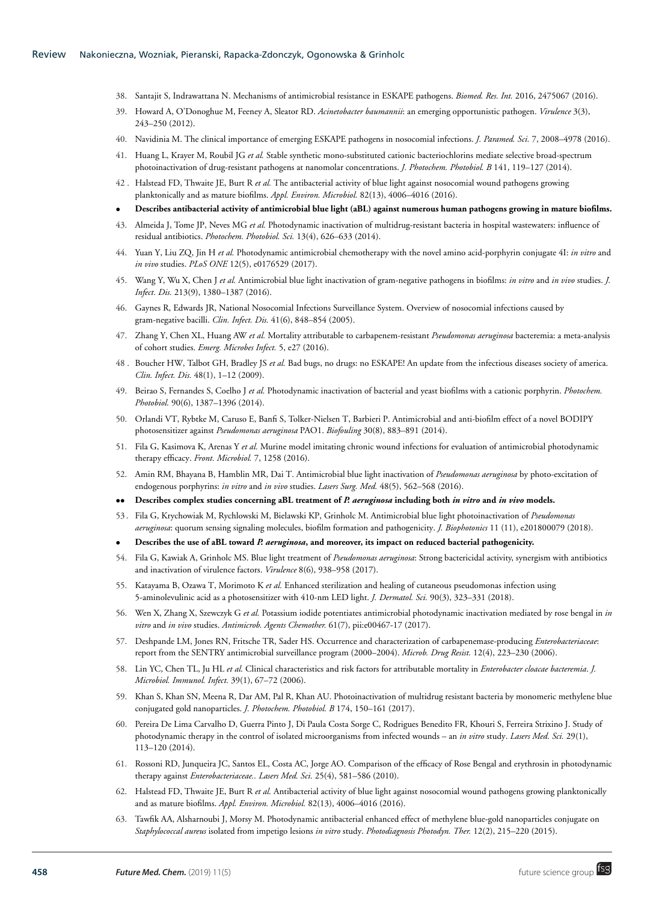- 38. Santajit S, Indrawattana N. Mechanisms of antimicrobial resistance in ESKAPE pathogens. *Biomed. Res. Int.* 2016, 2475067 (2016).
- 39. Howard A, O'Donoghue M, Feeney A, Sleator RD. *Acinetobacter baumannii*: an emerging opportunistic pathogen. *Virulence* 3(3), 243–250 (2012).
- 40. Navidinia M. The clinical importance of emerging ESKAPE pathogens in nosocomial infections. *J. Paramed. Sci.* 7, 2008–4978 (2016).
- 41. Huang L, Krayer M, Roubil JG *et al.* Stable synthetic mono-substituted cationic bacteriochlorins mediate selective broad-spectrum photoinactivation of drug-resistant pathogens at nanomolar concentrations. *J. Photochem. Photobiol. B* 141, 119–127 (2014).
- 42 . Halstead FD, Thwaite JE, Burt R *et al.* The antibacterial activity of blue light against nosocomial wound pathogens growing planktonically and as mature biofilms. *Appl. Environ. Microbiol.* 82(13), 4006–4016 (2016).
- **Describes antibacterial activity of antimicrobial blue light (aBL) against numerous human pathogens growing in mature biofilms.**
- 43. Almeida J, Tome JP, Neves MG *et al.* Photodynamic inactivation of multidrug-resistant bacteria in hospital wastewaters: influence of residual antibiotics. *Photochem. Photobiol. Sci.* 13(4), 626–633 (2014).
- 44. Yuan Y, Liu ZQ, Jin H *et al.* Photodynamic antimicrobial chemotherapy with the novel amino acid-porphyrin conjugate 4I: *in vitro* and *in vivo* studies. *PLoS ONE* 12(5), e0176529 (2017).
- 45. Wang Y, Wu X, Chen J *et al.* Antimicrobial blue light inactivation of gram-negative pathogens in biofilms: *in vitro* and *in vivo* studies. *J. Infect. Dis.* 213(9), 1380–1387 (2016).
- 46. Gaynes R, Edwards JR, National Nosocomial Infections Surveillance System. Overview of nosocomial infections caused by gram-negative bacilli. *Clin. Infect. Dis.* 41(6), 848–854 (2005).
- 47. Zhang Y, Chen XL, Huang AW *et al.* Mortality attributable to carbapenem-resistant *Pseudomonas aeruginosa* bacteremia: a meta-analysis of cohort studies. *Emerg. Microbes Infect.* 5, e27 (2016).
- 48 . Boucher HW, Talbot GH, Bradley JS *et al.* Bad bugs, no drugs: no ESKAPE! An update from the infectious diseases society of america. *Clin. Infect. Dis.* 48(1), 1–12 (2009).
- 49. Beirao S, Fernandes S, Coelho J *et al.* Photodynamic inactivation of bacterial and yeast biofilms with a cationic porphyrin. *Photochem. Photobiol.* 90(6), 1387–1396 (2014).
- 50. Orlandi VT, Rybtke M, Caruso E, Banfi S, Tolker-Nielsen T, Barbieri P. Antimicrobial and anti-biofilm effect of a novel BODIPY photosensitizer against *Pseudomonas aeruginosa* PAO1. *Biofouling* 30(8), 883–891 (2014).
- 51. Fila G, Kasimova K, Arenas Y *et al.* Murine model imitating chronic wound infections for evaluation of antimicrobial photodynamic therapy efficacy. *Front. Microbiol.* 7, 1258 (2016).
- 52. Amin RM, Bhayana B, Hamblin MR, Dai T. Antimicrobial blue light inactivation of *Pseudomonas aeruginosa* by photo-excitation of endogenous porphyrins: *in vitro* and *in vivo* studies. *Lasers Surg. Med.* 48(5), 562–568 (2016).
- •• **Describes complex studies concerning aBL treatment of** *P. aeruginosa* **including both** *in vitro* **and** *in vivo* **models.**
- 53 . Fila G, Krychowiak M, Rychlowski M, Bielawski KP, Grinholc M. Antimicrobial blue light photoinactivation of *Pseudomonas aeruginosa*: quorum sensing signaling molecules, biofilm formation and pathogenicity. *J. Biophotonics* 11 (11), e201800079 (2018).
- **Describes the use of aBL toward** *P. aeruginosa***, and moreover, its impact on reduced bacterial pathogenicity.**
- 54. Fila G, Kawiak A, Grinholc MS. Blue light treatment of *Pseudomonas aeruginosa*: Strong bactericidal activity, synergism with antibiotics and inactivation of virulence factors. *Virulence* 8(6), 938–958 (2017).
- 55. Katayama B, Ozawa T, Morimoto K *et al.* Enhanced sterilization and healing of cutaneous pseudomonas infection using 5-aminolevulinic acid as a photosensitizer with 410-nm LED light. *J. Dermatol. Sci.* 90(3), 323–331 (2018).
- 56. Wen X, Zhang X, Szewczyk G *et al.* Potassium iodide potentiates antimicrobial photodynamic inactivation mediated by rose bengal in *in vitro* and *in vivo* studies. *Antimicrob. Agents Chemother.* 61(7), pii:e00467-17 (2017).
- 57. Deshpande LM, Jones RN, Fritsche TR, Sader HS. Occurrence and characterization of carbapenemase-producing *Enterobacteriaceae*: report from the SENTRY antimicrobial surveillance program (2000–2004). *Microb. Drug Resist.* 12(4), 223–230 (2006).
- 58. Lin YC, Chen TL, Ju HL *et al.* Clinical characteristics and risk factors for attributable mortality in *Enterobacter cloacae bacteremia*. *J. Microbiol. Immunol. Infect.* 39(1), 67–72 (2006).
- 59. Khan S, Khan SN, Meena R, Dar AM, Pal R, Khan AU. Photoinactivation of multidrug resistant bacteria by monomeric methylene blue conjugated gold nanoparticles. *J. Photochem. Photobiol. B* 174, 150–161 (2017).
- 60. Pereira De Lima Carvalho D, Guerra Pinto J, Di Paula Costa Sorge C, Rodrigues Benedito FR, Khouri S, Ferreira Strixino J. Study of photodynamic therapy in the control of isolated microorganisms from infected wounds – an *in vitro* study. *Lasers Med. Sci.* 29(1), 113–120 (2014).
- 61. Rossoni RD, Junqueira JC, Santos EL, Costa AC, Jorge AO. Comparison of the efficacy of Rose Bengal and erythrosin in photodynamic therapy against *Enterobacteriaceae.. Lasers Med. Sci.* 25(4), 581–586 (2010).
- 62. Halstead FD, Thwaite JE, Burt R *et al.* Antibacterial activity of blue light against nosocomial wound pathogens growing planktonically and as mature biofilms. *Appl. Environ. Microbiol.* 82(13), 4006–4016 (2016).
- 63. Tawfik AA, Alsharnoubi J, Morsy M. Photodynamic antibacterial enhanced effect of methylene blue-gold nanoparticles conjugate on *Staphylococcal aureus* isolated from impetigo lesions *in vitro* study. *Photodiagnosis Photodyn. Ther.* 12(2), 215–220 (2015).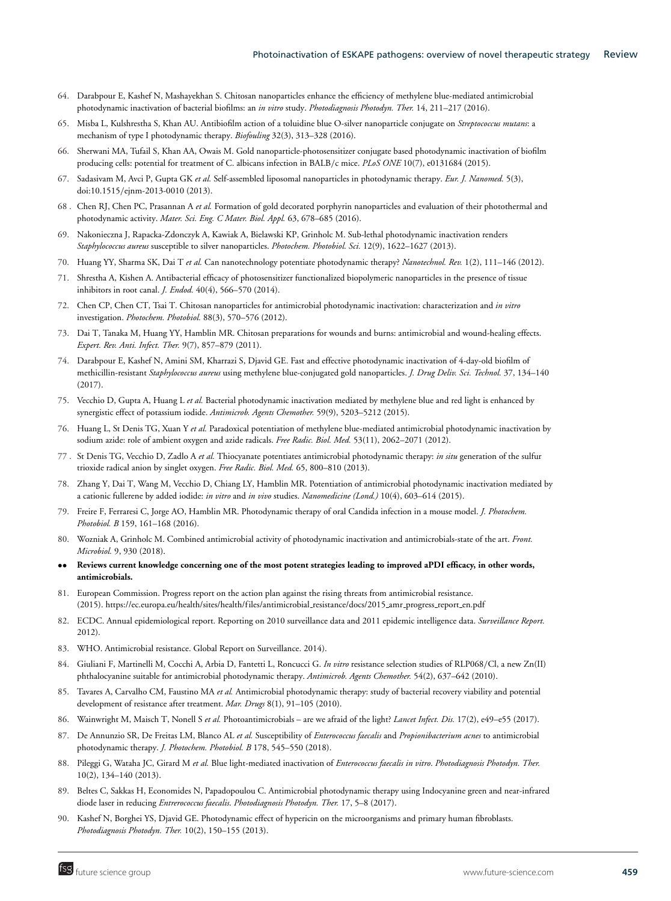- 64. Darabpour E, Kashef N, Mashayekhan S. Chitosan nanoparticles enhance the efficiency of methylene blue-mediated antimicrobial photodynamic inactivation of bacterial biofilms: an *in vitro* study. *Photodiagnosis Photodyn. Ther.* 14, 211–217 (2016).
- 65. Misba L, Kulshrestha S, Khan AU. Antibiofilm action of a toluidine blue O-silver nanoparticle conjugate on *Streptococcus mutans*: a mechanism of type I photodynamic therapy. *Biofouling* 32(3), 313–328 (2016).
- 66. Sherwani MA, Tufail S, Khan AA, Owais M. Gold nanoparticle-photosensitizer conjugate based photodynamic inactivation of biofilm producing cells: potential for treatment of C. albicans infection in BALB/c mice. *PLoS ONE* 10(7), e0131684 (2015).
- 67. Sadasivam M, Avci P, Gupta GK *et al.* Self-assembled liposomal nanoparticles in photodynamic therapy. *Eur. J. Nanomed.* 5(3), doi:10.1515/ejnm-2013-0010 (2013).
- 68 . Chen RJ, Chen PC, Prasannan A *et al.* Formation of gold decorated porphyrin nanoparticles and evaluation of their photothermal and photodynamic activity. *Mater. Sci. Eng. C Mater. Biol. Appl.* 63, 678–685 (2016).
- 69. Nakonieczna J, Rapacka-Zdonczyk A, Kawiak A, Bielawski KP, Grinholc M. Sub-lethal photodynamic inactivation renders *Staphylococcus aureus* susceptible to silver nanoparticles. *Photochem. Photobiol. Sci.* 12(9), 1622–1627 (2013).
- 70. Huang YY, Sharma SK, Dai T *et al.* Can nanotechnology potentiate photodynamic therapy? *Nanotechnol. Rev.* 1(2), 111–146 (2012).
- 71. Shrestha A, Kishen A. Antibacterial efficacy of photosensitizer functionalized biopolymeric nanoparticles in the presence of tissue inhibitors in root canal. *J. Endod.* 40(4), 566–570 (2014).
- 72. Chen CP, Chen CT, Tsai T. Chitosan nanoparticles for antimicrobial photodynamic inactivation: characterization and *in vitro* investigation. *Photochem. Photobiol.* 88(3), 570–576 (2012).
- 73. Dai T, Tanaka M, Huang YY, Hamblin MR. Chitosan preparations for wounds and burns: antimicrobial and wound-healing effects. *Expert. Rev. Anti. Infect. Ther.* 9(7), 857–879 (2011).
- 74. Darabpour E, Kashef N, Amini SM, Kharrazi S, Djavid GE. Fast and effective photodynamic inactivation of 4-day-old biofilm of methicillin-resistant *Staphylococcus aureus* using methylene blue-conjugated gold nanoparticles. *J. Drug Deliv. Sci. Technol.* 37, 134–140 (2017).
- 75. Vecchio D, Gupta A, Huang L *et al.* Bacterial photodynamic inactivation mediated by methylene blue and red light is enhanced by synergistic effect of potassium iodide. *Antimicrob. Agents Chemother.* 59(9), 5203–5212 (2015).
- 76. Huang L, St Denis TG, Xuan Y *et al.* Paradoxical potentiation of methylene blue-mediated antimicrobial photodynamic inactivation by sodium azide: role of ambient oxygen and azide radicals. *Free Radic. Biol. Med.* 53(11), 2062–2071 (2012).
- 77 . St Denis TG, Vecchio D, Zadlo A *et al.* Thiocyanate potentiates antimicrobial photodynamic therapy: *in situ* generation of the sulfur trioxide radical anion by singlet oxygen. *Free Radic. Biol. Med.* 65, 800–810 (2013).
- 78. Zhang Y, Dai T, Wang M, Vecchio D, Chiang LY, Hamblin MR. Potentiation of antimicrobial photodynamic inactivation mediated by a cationic fullerene by added iodide: *in vitro* and *in vivo* studies. *Nanomedicine (Lond.)* 10(4), 603–614 (2015).
- 79. Freire F, Ferraresi C, Jorge AO, Hamblin MR. Photodynamic therapy of oral Candida infection in a mouse model. *J. Photochem. Photobiol. B* 159, 161–168 (2016).
- 80. Wozniak A, Grinholc M. Combined antimicrobial activity of photodynamic inactivation and antimicrobials-state of the art. *Front. Microbiol.* 9, 930 (2018).
- •• **Reviews current knowledge concerning one of the most potent strategies leading to improved aPDI efficacy, in other words, antimicrobials.**
- 81. European Commission. Progress report on the action plan against the rising threats from antimicrobial resistance. (2015). [https://ec.europa.eu/health/sites/health/files/antimicrobial](https://ec.europa.eu/health/sites/health/files/antimicrobial_resistance/docs/2015_amr_progress_report_en.pdf) resistance/docs/2015 amr progress report en.pdf
- 82. ECDC. Annual epidemiological report. Reporting on 2010 surveillance data and 2011 epidemic intelligence data. *Surveillance Report.* 2012).
- 83. WHO. Antimicrobial resistance. Global Report on Surveillance. 2014).
- 84. Giuliani F, Martinelli M, Cocchi A, Arbia D, Fantetti L, Roncucci G. *In vitro* resistance selection studies of RLP068/Cl, a new Zn(II) phthalocyanine suitable for antimicrobial photodynamic therapy. *Antimicrob. Agents Chemother.* 54(2), 637–642 (2010).
- 85. Tavares A, Carvalho CM, Faustino MA *et al.* Antimicrobial photodynamic therapy: study of bacterial recovery viability and potential development of resistance after treatment. *Mar. Drugs* 8(1), 91–105 (2010).
- 86. Wainwright M, Maisch T, Nonell S et al. Photoantimicrobials are we afraid of the light? *Lancet Infect. Dis.* 17(2), e49–e55 (2017).
- 87. De Annunzio SR, De Freitas LM, Blanco AL *et al.* Susceptibility of *Enterococcus faecalis* and *Propionibacterium acnes* to antimicrobial photodynamic therapy. *J. Photochem. Photobiol. B* 178, 545–550 (2018).
- 88. Pileggi G, Wataha JC, Girard M *et al.* Blue light-mediated inactivation of *Enterococcus faecalis in vitro*. *Photodiagnosis Photodyn. Ther.* 10(2), 134–140 (2013).
- 89. Beltes C, Sakkas H, Economides N, Papadopoulou C. Antimicrobial photodynamic therapy using Indocyanine green and near-infrared diode laser in reducing *Entrerococcus faecalis*. *Photodiagnosis Photodyn. Ther.* 17, 5–8 (2017).
- 90. Kashef N, Borghei YS, Djavid GE. Photodynamic effect of hypericin on the microorganisms and primary human fibroblasts. *Photodiagnosis Photodyn. Ther.* 10(2), 150–155 (2013).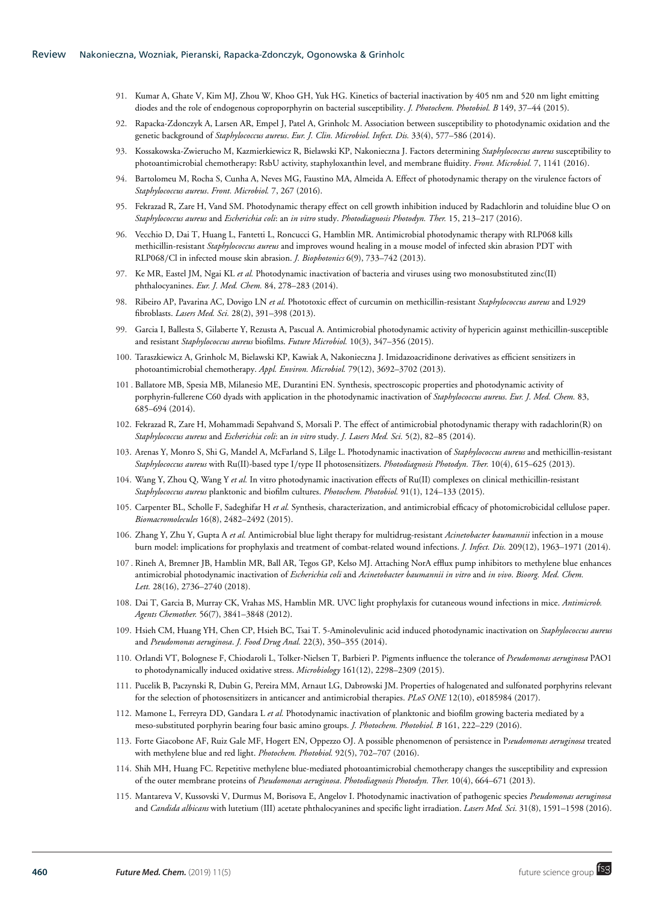- 91. Kumar A, Ghate V, Kim MJ, Zhou W, Khoo GH, Yuk HG. Kinetics of bacterial inactivation by 405 nm and 520 nm light emitting diodes and the role of endogenous coproporphyrin on bacterial susceptibility. *J. Photochem. Photobiol. B* 149, 37–44 (2015).
- 92. Rapacka-Zdonczyk A, Larsen AR, Empel J, Patel A, Grinholc M. Association between susceptibility to photodynamic oxidation and the genetic background of *Staphylococcus aureus*. *Eur. J. Clin. Microbiol. Infect. Dis.* 33(4), 577–586 (2014).
- 93. Kossakowska-Zwierucho M, Kazmierkiewicz R, Bielawski KP, Nakonieczna J. Factors determining *Staphylococcus aureus* susceptibility to photoantimicrobial chemotherapy: RsbU activity, staphyloxanthin level, and membrane fluidity. *Front. Microbiol.* 7, 1141 (2016).
- 94. Bartolomeu M, Rocha S, Cunha A, Neves MG, Faustino MA, Almeida A. Effect of photodynamic therapy on the virulence factors of *Staphylococcus aureus*. *Front. Microbiol.* 7, 267 (2016).
- 95. Fekrazad R, Zare H, Vand SM. Photodynamic therapy effect on cell growth inhibition induced by Radachlorin and toluidine blue O on *Staphylococcus aureus* and *Escherichia coli*: an *in vitro* study. *Photodiagnosis Photodyn. Ther.* 15, 213–217 (2016).
- 96. Vecchio D, Dai T, Huang L, Fantetti L, Roncucci G, Hamblin MR. Antimicrobial photodynamic therapy with RLP068 kills methicillin-resistant *Staphylococcus aureus* and improves wound healing in a mouse model of infected skin abrasion PDT with RLP068/Cl in infected mouse skin abrasion. *J. Biophotonics* 6(9), 733–742 (2013).
- 97. Ke MR, Eastel JM, Ngai KL *et al.* Photodynamic inactivation of bacteria and viruses using two monosubstituted zinc(II) phthalocyanines. *Eur. J. Med. Chem.* 84, 278–283 (2014).
- 98. Ribeiro AP, Pavarina AC, Dovigo LN *et al.* Phototoxic effect of curcumin on methicillin-resistant *Staphylococcus aureus* and L929 fibroblasts. *Lasers Med. Sci.* 28(2), 391–398 (2013).
- 99. Garcia I, Ballesta S, Gilaberte Y, Rezusta A, Pascual A. Antimicrobial photodynamic activity of hypericin against methicillin-susceptible and resistant *Staphylococcus aureus* biofilms. *Future Microbiol.* 10(3), 347–356 (2015).
- 100. Taraszkiewicz A, Grinholc M, Bielawski KP, Kawiak A, Nakonieczna J. Imidazoacridinone derivatives as efficient sensitizers in photoantimicrobial chemotherapy. *Appl. Environ. Microbiol.* 79(12), 3692–3702 (2013).
- 101 . Ballatore MB, Spesia MB, Milanesio ME, Durantini EN. Synthesis, spectroscopic properties and photodynamic activity of porphyrin-fullerene C60 dyads with application in the photodynamic inactivation of *Staphylococcus aureus*. *Eur. J. Med. Chem.* 83, 685–694 (2014).
- 102. Fekrazad R, Zare H, Mohammadi Sepahvand S, Morsali P. The effect of antimicrobial photodynamic therapy with radachlorin(R) on *Staphylococcus aureus* and *Escherichia coli*: an *in vitro* study. *J. Lasers Med. Sci.* 5(2), 82–85 (2014).
- 103. Arenas Y, Monro S, Shi G, Mandel A, McFarland S, Lilge L. Photodynamic inactivation of *Staphylococcus aureus* and methicillin-resistant *Staphylococcus aureus* with Ru(II)-based type I/type II photosensitizers. *Photodiagnosis Photodyn. Ther.* 10(4), 615–625 (2013).
- 104. Wang Y, Zhou Q, Wang Y *et al.* In vitro photodynamic inactivation effects of Ru(II) complexes on clinical methicillin-resistant *Staphylococcus aureus* planktonic and biofilm cultures. *Photochem. Photobiol.* 91(1), 124–133 (2015).
- 105. Carpenter BL, Scholle F, Sadeghifar H *et al.* Synthesis, characterization, and antimicrobial efficacy of photomicrobicidal cellulose paper. *Biomacromolecules* 16(8), 2482–2492 (2015).
- 106. Zhang Y, Zhu Y, Gupta A *et al.* Antimicrobial blue light therapy for multidrug-resistant *Acinetobacter baumannii* infection in a mouse burn model: implications for prophylaxis and treatment of combat-related wound infections. *J. Infect. Dis.* 209(12), 1963–1971 (2014).
- 107 . Rineh A, Bremner JB, Hamblin MR, Ball AR, Tegos GP, Kelso MJ. Attaching NorA efflux pump inhibitors to methylene blue enhances antimicrobial photodynamic inactivation of *Escherichia coli* and *Acinetobacter baumannii in vitro* and *in vivo*. *Bioorg. Med. Chem. Lett.* 28(16), 2736–2740 (2018).
- 108. Dai T, Garcia B, Murray CK, Vrahas MS, Hamblin MR. UVC light prophylaxis for cutaneous wound infections in mice. *Antimicrob. Agents Chemother.* 56(7), 3841–3848 (2012).
- 109. Hsieh CM, Huang YH, Chen CP, Hsieh BC, Tsai T. 5-Aminolevulinic acid induced photodynamic inactivation on *Staphylococcus aureus* and *Pseudomonas aeruginosa*. *J. Food Drug Anal.* 22(3), 350–355 (2014).
- 110. Orlandi VT, Bolognese F, Chiodaroli L, Tolker-Nielsen T, Barbieri P. Pigments influence the tolerance of *Pseudomonas aeruginosa* PAO1 to photodynamically induced oxidative stress. *Microbiology* 161(12), 2298–2309 (2015).
- 111. Pucelik B, Paczynski R, Dubin G, Pereira MM, Arnaut LG, Dabrowski JM. Properties of halogenated and sulfonated porphyrins relevant for the selection of photosensitizers in anticancer and antimicrobial therapies. *PLoS ONE* 12(10), e0185984 (2017).
- 112. Mamone L, Ferreyra DD, Gandara L *et al.* Photodynamic inactivation of planktonic and biofilm growing bacteria mediated by a meso-substituted porphyrin bearing four basic amino groups. *J. Photochem. Photobiol. B* 161, 222–229 (2016).
- 113. Forte Giacobone AF, Ruiz Gale MF, Hogert EN, Oppezzo OJ. A possible phenomenon of persistence in P*seudomonas aeruginosa* treated with methylene blue and red light. *Photochem. Photobiol.* 92(5), 702–707 (2016).
- 114. Shih MH, Huang FC. Repetitive methylene blue-mediated photoantimicrobial chemotherapy changes the susceptibility and expression of the outer membrane proteins of *Pseudomonas aeruginosa*. *Photodiagnosis Photodyn. Ther.* 10(4), 664–671 (2013).
- 115. Mantareva V, Kussovski V, Durmus M, Borisova E, Angelov I. Photodynamic inactivation of pathogenic species *Pseudomonas aeruginosa* and *Candida albicans* with lutetium (III) acetate phthalocyanines and specific light irradiation. *Lasers Med. Sci.* 31(8), 1591–1598 (2016).